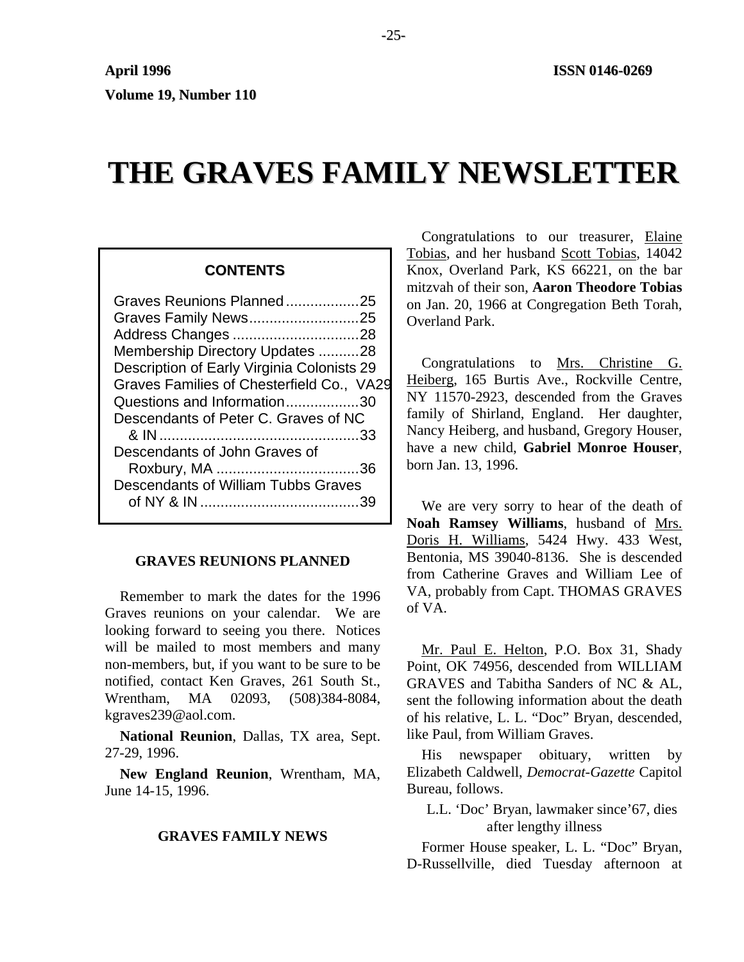# **THE GRAVES FAMILY NEWSLETTER**

# **CONTENTS**

| Graves Reunions Planned25                  |  |
|--------------------------------------------|--|
| Graves Family News25                       |  |
| Address Changes 28                         |  |
| Membership Directory Updates 28            |  |
| Description of Early Virginia Colonists 29 |  |
| Graves Families of Chesterfield Co., VA29  |  |
| Questions and Information30                |  |
| Descendants of Peter C. Graves of NC       |  |
|                                            |  |
| Descendants of John Graves of              |  |
|                                            |  |
| Descendants of William Tubbs Graves        |  |
|                                            |  |

# **GRAVES REUNIONS PLANNED**

Remember to mark the dates for the 1996 Graves reunions on your calendar. We are looking forward to seeing you there. Notices will be mailed to most members and many non-members, but, if you want to be sure to be notified, contact Ken Graves, 261 South St., Wrentham, MA 02093, (508)384-8084, kgraves239@aol.com.

**National Reunion**, Dallas, TX area, Sept. 27-29, 1996.

**New England Reunion**, Wrentham, MA, June 14-15, 1996.

# **GRAVES FAMILY NEWS**

Congratulations to our treasurer, Elaine Tobias, and her husband Scott Tobias, 14042 Knox, Overland Park, KS 66221, on the bar mitzvah of their son, **Aaron Theodore Tobias** on Jan. 20, 1966 at Congregation Beth Torah, Overland Park.

Congratulations to Mrs. Christine G. Heiberg, 165 Burtis Ave., Rockville Centre, NY 11570-2923, descended from the Graves family of Shirland, England. Her daughter, Nancy Heiberg, and husband, Gregory Houser, have a new child, **Gabriel Monroe Houser**, born Jan. 13, 1996.

We are very sorry to hear of the death of **Noah Ramsey Williams**, husband of Mrs. Doris H. Williams, 5424 Hwy. 433 West, Bentonia, MS 39040-8136. She is descended from Catherine Graves and William Lee of VA, probably from Capt. THOMAS GRAVES of VA.

Mr. Paul E. Helton, P.O. Box 31, Shady Point, OK 74956, descended from WILLIAM GRAVES and Tabitha Sanders of NC & AL, sent the following information about the death of his relative, L. L. "Doc" Bryan, descended, like Paul, from William Graves.

His newspaper obituary, written by Elizabeth Caldwell, *Democrat-Gazette* Capitol Bureau, follows.

L.L. 'Doc' Bryan, lawmaker since'67, dies after lengthy illness

Former House speaker, L. L. "Doc" Bryan, D-Russellville, died Tuesday afternoon at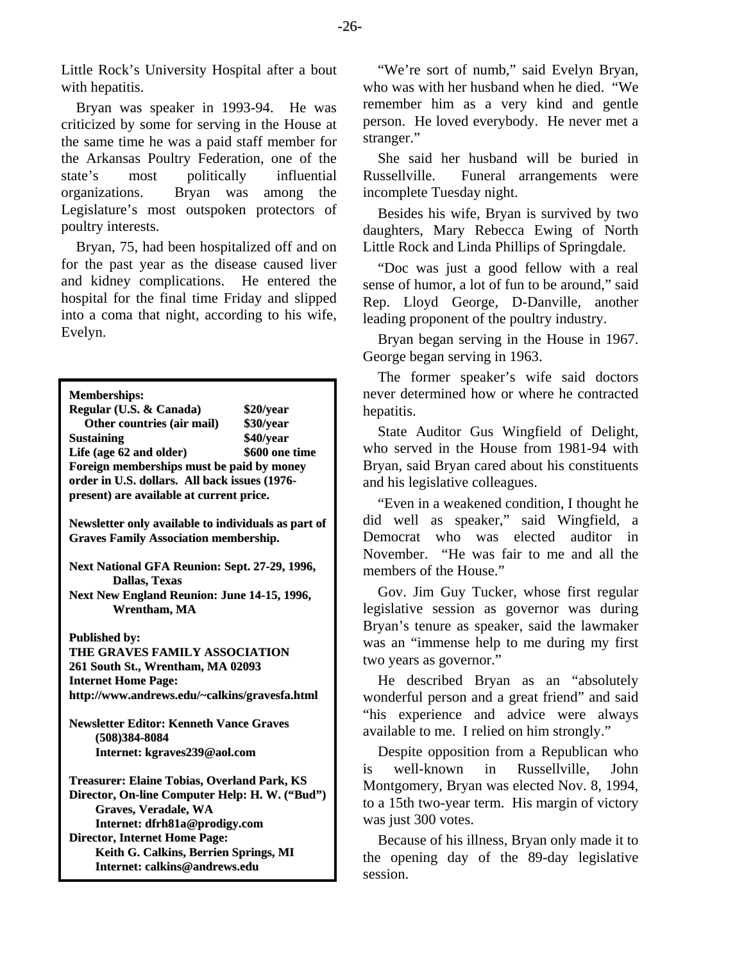Little Rock's University Hospital after a bout with hepatitis.

Bryan was speaker in 1993-94. He was criticized by some for serving in the House at the same time he was a paid staff member for the Arkansas Poultry Federation, one of the state's most politically influential organizations. Bryan was among the Legislature's most outspoken protectors of poultry interests.

Bryan, 75, had been hospitalized off and on for the past year as the disease caused liver and kidney complications. He entered the hospital for the final time Friday and slipped into a coma that night, according to his wife, Evelyn.

**Memberships: Regular (U.S. & Canada) \$20/year Other countries (air mail) \$30/year Sustaining \$40/year Life (age 62 and older) \$600 one time Foreign memberships must be paid by money order in U.S. dollars. All back issues (1976 present) are available at current price.**

**Newsletter only available to individuals as part of Graves Family Association membership.**

**Next National GFA Reunion: Sept. 27-29, 1996, Dallas, Texas**

**Next New England Reunion: June 14-15, 1996, Wrentham, MA**

**Published by:**

**THE GRAVES FAMILY ASSOCIATION 261 South St., Wrentham, MA 02093 Internet Home Page: http://www.andrews.edu/~calkins/gravesfa.html**

**Newsletter Editor: Kenneth Vance Graves (508)384-8084 Internet: kgraves239@aol.com**

**Treasurer: Elaine Tobias, Overland Park, KS Director, On-line Computer Help: H. W. ("Bud") Graves, Veradale, WA Internet: dfrh81a@prodigy.com Director, Internet Home Page: Keith G. Calkins, Berrien Springs, MI Internet: calkins@andrews.edu**

"We're sort of numb," said Evelyn Bryan, who was with her husband when he died. "We remember him as a very kind and gentle person. He loved everybody. He never met a stranger."

She said her husband will be buried in Russellville. Funeral arrangements were incomplete Tuesday night.

Besides his wife, Bryan is survived by two daughters, Mary Rebecca Ewing of North Little Rock and Linda Phillips of Springdale.

"Doc was just a good fellow with a real sense of humor, a lot of fun to be around," said Rep. Lloyd George, D-Danville, another leading proponent of the poultry industry.

Bryan began serving in the House in 1967. George began serving in 1963.

The former speaker's wife said doctors never determined how or where he contracted hepatitis.

State Auditor Gus Wingfield of Delight, who served in the House from 1981-94 with Bryan, said Bryan cared about his constituents and his legislative colleagues.

"Even in a weakened condition, I thought he did well as speaker," said Wingfield, a Democrat who was elected auditor in November. "He was fair to me and all the members of the House."

Gov. Jim Guy Tucker, whose first regular legislative session as governor was during Bryan's tenure as speaker, said the lawmaker was an "immense help to me during my first two years as governor."

He described Bryan as an "absolutely wonderful person and a great friend" and said "his experience and advice were always available to me. I relied on him strongly."

Despite opposition from a Republican who is well-known in Russellville, John Montgomery, Bryan was elected Nov. 8, 1994, to a 15th two-year term. His margin of victory was just 300 votes.

Because of his illness, Bryan only made it to the opening day of the 89-day legislative session.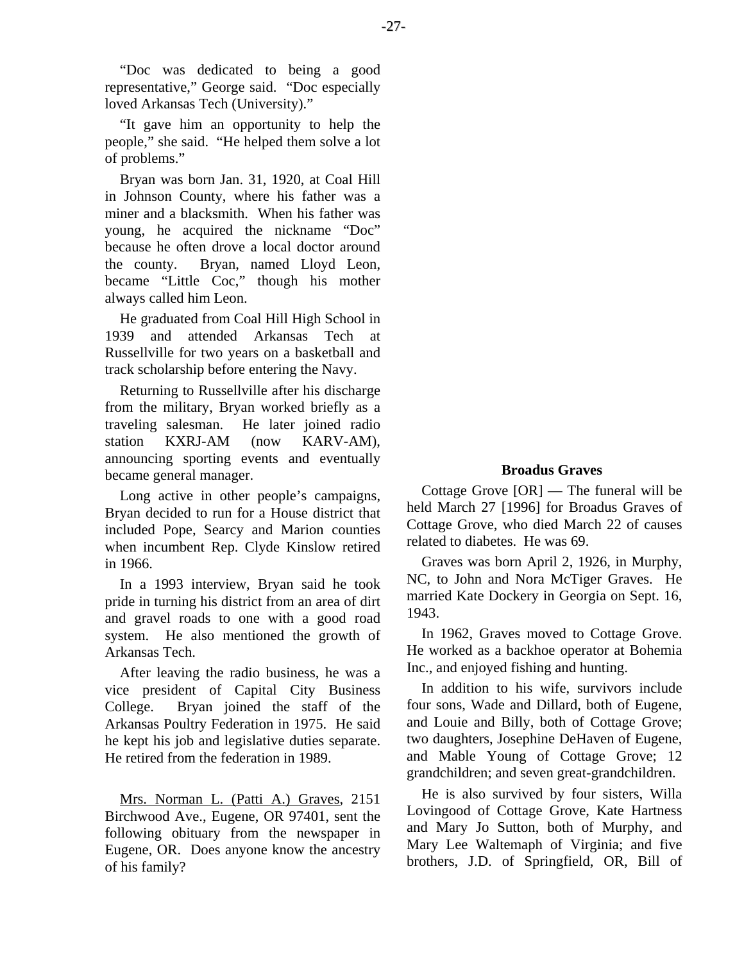"Doc was dedicated to being a good representative," George said. "Doc especially loved Arkansas Tech (University)."

"It gave him an opportunity to help the people," she said. "He helped them solve a lot of problems."

Bryan was born Jan. 31, 1920, at Coal Hill in Johnson County, where his father was a miner and a blacksmith. When his father was young, he acquired the nickname "Doc" because he often drove a local doctor around the county. Bryan, named Lloyd Leon, became "Little Coc," though his mother always called him Leon.

He graduated from Coal Hill High School in 1939 and attended Arkansas Tech at Russellville for two years on a basketball and track scholarship before entering the Navy.

Returning to Russellville after his discharge from the military, Bryan worked briefly as a traveling salesman. He later joined radio station KXRJ-AM (now KARV-AM), announcing sporting events and eventually became general manager.

Long active in other people's campaigns, Bryan decided to run for a House district that included Pope, Searcy and Marion counties when incumbent Rep. Clyde Kinslow retired in 1966.

In a 1993 interview, Bryan said he took pride in turning his district from an area of dirt and gravel roads to one with a good road system. He also mentioned the growth of Arkansas Tech.

After leaving the radio business, he was a vice president of Capital City Business College. Bryan joined the staff of the Arkansas Poultry Federation in 1975. He said he kept his job and legislative duties separate. He retired from the federation in 1989.

Mrs. Norman L. (Patti A.) Graves, 2151 Birchwood Ave., Eugene, OR 97401, sent the following obituary from the newspaper in Eugene, OR. Does anyone know the ancestry of his family?

# **Broadus Graves**

Cottage Grove [OR] — The funeral will be held March 27 [1996] for Broadus Graves of Cottage Grove, who died March 22 of causes related to diabetes. He was 69.

Graves was born April 2, 1926, in Murphy, NC, to John and Nora McTiger Graves. He married Kate Dockery in Georgia on Sept. 16, 1943.

In 1962, Graves moved to Cottage Grove. He worked as a backhoe operator at Bohemia Inc., and enjoyed fishing and hunting.

In addition to his wife, survivors include four sons, Wade and Dillard, both of Eugene, and Louie and Billy, both of Cottage Grove; two daughters, Josephine DeHaven of Eugene, and Mable Young of Cottage Grove; 12 grandchildren; and seven great-grandchildren.

He is also survived by four sisters, Willa Lovingood of Cottage Grove, Kate Hartness and Mary Jo Sutton, both of Murphy, and Mary Lee Waltemaph of Virginia; and five brothers, J.D. of Springfield, OR, Bill of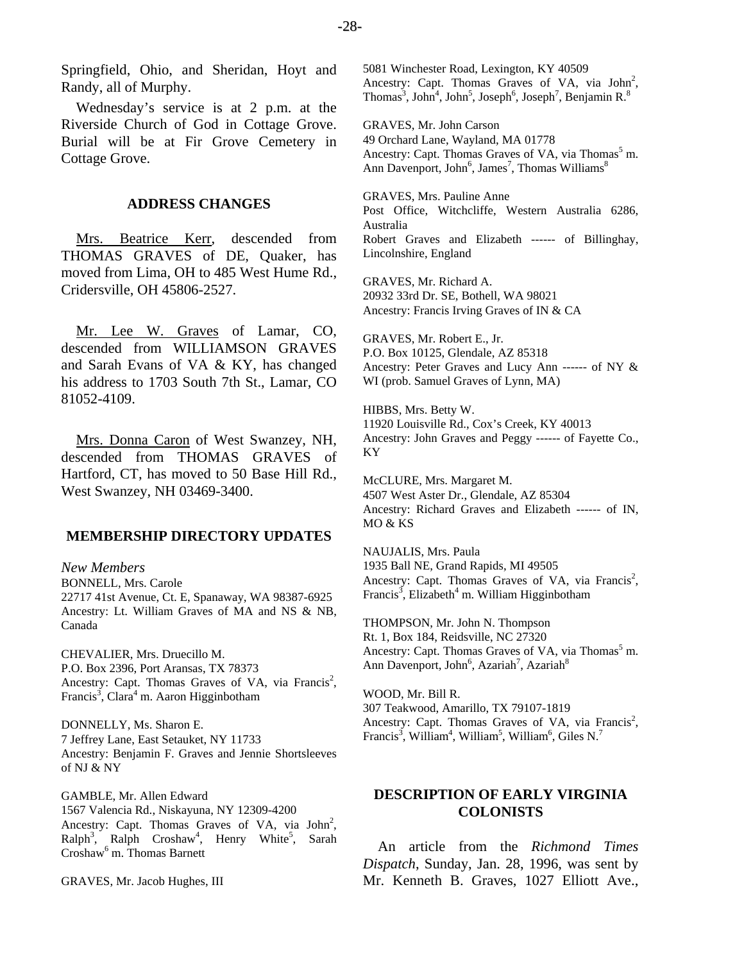Wednesday's service is at 2 p.m. at the Riverside Church of God in Cottage Grove. Burial will be at Fir Grove Cemetery in Cottage Grove.

#### **ADDRESS CHANGES**

Mrs. Beatrice Kerr, descended from THOMAS GRAVES of DE, Quaker, has moved from Lima, OH to 485 West Hume Rd., Cridersville, OH 45806-2527.

Mr. Lee W. Graves of Lamar, CO, descended from WILLIAMSON GRAVES and Sarah Evans of VA & KY, has changed his address to 1703 South 7th St., Lamar, CO 81052-4109.

Mrs. Donna Caron of West Swanzey, NH, descended from THOMAS GRAVES of Hartford, CT, has moved to 50 Base Hill Rd., West Swanzey, NH 03469-3400.

#### **MEMBERSHIP DIRECTORY UPDATES**

#### *New Members*

BONNELL, Mrs. Carole 22717 41st Avenue, Ct. E, Spanaway, WA 98387-6925 Ancestry: Lt. William Graves of MA and NS & NB, Canada

CHEVALIER, Mrs. Druecillo M. P.O. Box 2396, Port Aransas, TX 78373 Ancestry: Capt. Thomas Graves of VA, via Francis<sup>2</sup>, Francis<sup>3</sup>, Clara<sup>4</sup> m. Aaron Higginbotham

DONNELLY, Ms. Sharon E. 7 Jeffrey Lane, East Setauket, NY 11733 Ancestry: Benjamin F. Graves and Jennie Shortsleeves of NJ & NY

GAMBLE, Mr. Allen Edward 1567 Valencia Rd., Niskayuna, NY 12309-4200 Ancestry: Capt. Thomas Graves of VA, via  $John<sup>2</sup>$ ,  $\text{Ralph}^3$ , Ralph Croshaw<sup>4</sup>, Henry White<sup>5</sup>, Sarah Croshaw<sup>6</sup> m. Thomas Barnett

GRAVES, Mr. Jacob Hughes, III

5081 Winchester Road, Lexington, KY 40509 Ancestry: Capt. Thomas Graves of VA, via John<sup>2</sup>, Thomas<sup>3</sup>, John<sup>4</sup>, John<sup>5</sup>, Joseph<sup>6</sup>, Joseph<sup>7</sup>, Benjamin R.<sup>8</sup>

GRAVES, Mr. John Carson 49 Orchard Lane, Wayland, MA 01778 Ancestry: Capt. Thomas Graves of VA, via Thomas<sup>5</sup> m. Ann Davenport, John<sup>6</sup>, James<sup>7</sup>, Thomas Williams<sup>8</sup>

GRAVES, Mrs. Pauline Anne Post Office, Witchcliffe, Western Australia 6286, Australia Robert Graves and Elizabeth ------ of Billinghay, Lincolnshire, England

GRAVES, Mr. Richard A. 20932 33rd Dr. SE, Bothell, WA 98021 Ancestry: Francis Irving Graves of IN & CA

GRAVES, Mr. Robert E., Jr. P.O. Box 10125, Glendale, AZ 85318 Ancestry: Peter Graves and Lucy Ann ------ of NY & WI (prob. Samuel Graves of Lynn, MA)

HIBBS, Mrs. Betty W. 11920 Louisville Rd., Cox's Creek, KY 40013 Ancestry: John Graves and Peggy ------ of Fayette Co., KY

McCLURE, Mrs. Margaret M. 4507 West Aster Dr., Glendale, AZ 85304 Ancestry: Richard Graves and Elizabeth ------ of IN, MO & KS

NAUJALIS, Mrs. Paula 1935 Ball NE, Grand Rapids, MI 49505 Ancestry: Capt. Thomas Graves of VA, via Francis<sup>2</sup>, Francis<sup>3</sup>, Elizabeth<sup>4</sup> m. William Higginbotham

THOMPSON, Mr. John N. Thompson Rt. 1, Box 184, Reidsville, NC 27320 Ancestry: Capt. Thomas Graves of VA, via Thomas<sup>5</sup> m. Ann Davenport, John<sup>6</sup>, Azariah<sup>7</sup>, Azariah<sup>8</sup>

WOOD, Mr. Bill R. 307 Teakwood, Amarillo, TX 79107-1819 Ancestry: Capt. Thomas Graves of VA, via Francis<sup>2</sup>, Francis<sup>3</sup>, William<sup>4</sup>, William<sup>5</sup>, William<sup>6</sup>, Giles N.<sup>7</sup>

# **DESCRIPTION OF EARLY VIRGINIA COLONISTS**

An article from the *Richmond Times Dispatch*, Sunday, Jan. 28, 1996, was sent by Mr. Kenneth B. Graves, 1027 Elliott Ave.,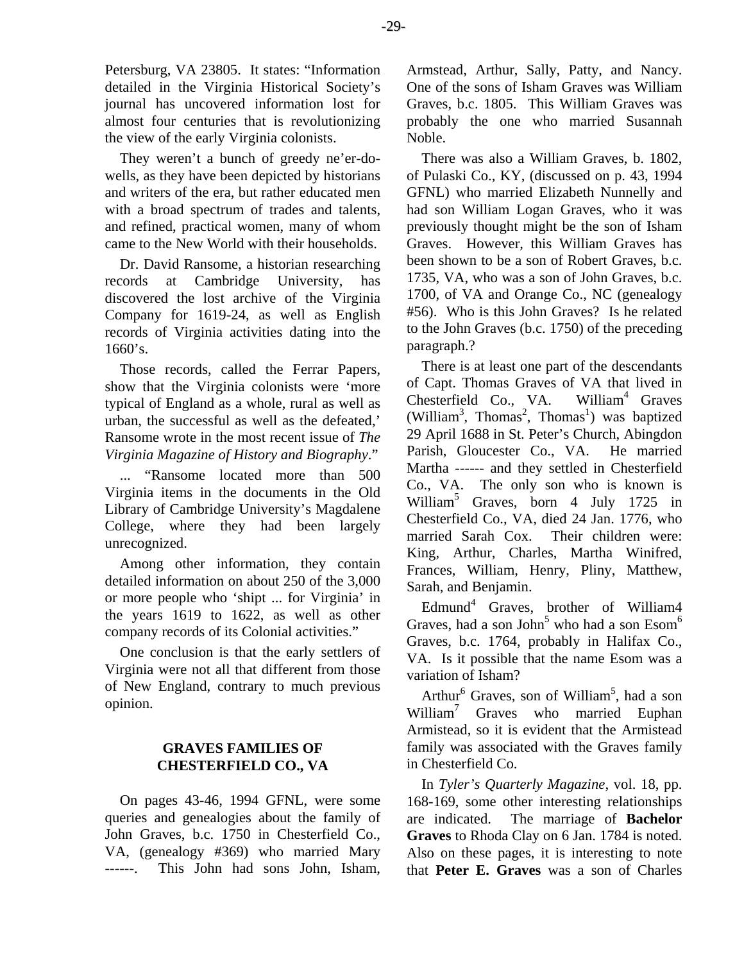Petersburg, VA 23805. It states: "Information detailed in the Virginia Historical Society's journal has uncovered information lost for almost four centuries that is revolutionizing the view of the early Virginia colonists.

They weren't a bunch of greedy ne'er-dowells, as they have been depicted by historians and writers of the era, but rather educated men with a broad spectrum of trades and talents, and refined, practical women, many of whom came to the New World with their households.

Dr. David Ransome, a historian researching records at Cambridge University, has discovered the lost archive of the Virginia Company for 1619-24, as well as English records of Virginia activities dating into the 1660's.

Those records, called the Ferrar Papers, show that the Virginia colonists were 'more typical of England as a whole, rural as well as urban, the successful as well as the defeated,' Ransome wrote in the most recent issue of *The Virginia Magazine of History and Biography*."

... "Ransome located more than 500 Virginia items in the documents in the Old Library of Cambridge University's Magdalene College, where they had been largely unrecognized.

Among other information, they contain detailed information on about 250 of the 3,000 or more people who 'shipt ... for Virginia' in the years 1619 to 1622, as well as other company records of its Colonial activities."

One conclusion is that the early settlers of Virginia were not all that different from those of New England, contrary to much previous opinion.

# **GRAVES FAMILIES OF CHESTERFIELD CO., VA**

On pages 43-46, 1994 GFNL, were some queries and genealogies about the family of John Graves, b.c. 1750 in Chesterfield Co., VA, (genealogy #369) who married Mary ------. This John had sons John, Isham, Armstead, Arthur, Sally, Patty, and Nancy. One of the sons of Isham Graves was William Graves, b.c. 1805. This William Graves was probably the one who married Susannah Noble.

There was also a William Graves, b. 1802, of Pulaski Co., KY, (discussed on p. 43, 1994 GFNL) who married Elizabeth Nunnelly and had son William Logan Graves, who it was previously thought might be the son of Isham Graves. However, this William Graves has been shown to be a son of Robert Graves, b.c. 1735, VA, who was a son of John Graves, b.c. 1700, of VA and Orange Co., NC (genealogy #56). Who is this John Graves? Is he related to the John Graves (b.c. 1750) of the preceding paragraph.?

There is at least one part of the descendants of Capt. Thomas Graves of VA that lived in Chesterfield Co., VA. William<sup>4</sup> Graves (William<sup>3</sup>, Thomas<sup>2</sup>, Thomas<sup>1</sup>) was baptized 29 April 1688 in St. Peter's Church, Abingdon Parish, Gloucester Co., VA. He married Martha ------ and they settled in Chesterfield Co., VA. The only son who is known is William5 Graves, born 4 July 1725 in Chesterfield Co., VA, died 24 Jan. 1776, who married Sarah Cox. Their children were: King, Arthur, Charles, Martha Winifred, Frances, William, Henry, Pliny, Matthew, Sarah, and Benjamin.

Edmund<sup>4</sup> Graves, brother of William4 Graves, had a son John<sup>5</sup> who had a son  $\mathrm{Esom}^6$ Graves, b.c. 1764, probably in Halifax Co., VA. Is it possible that the name Esom was a variation of Isham?

Arthur<sup>6</sup> Graves, son of William<sup>5</sup>, had a son William<sup>7</sup> Graves who married Euphan Armistead, so it is evident that the Armistead family was associated with the Graves family in Chesterfield Co.

In *Tyler's Quarterly Magazine*, vol. 18, pp. 168-169, some other interesting relationships are indicated. The marriage of **Bachelor Graves** to Rhoda Clay on 6 Jan. 1784 is noted. Also on these pages, it is interesting to note that **Peter E. Graves** was a son of Charles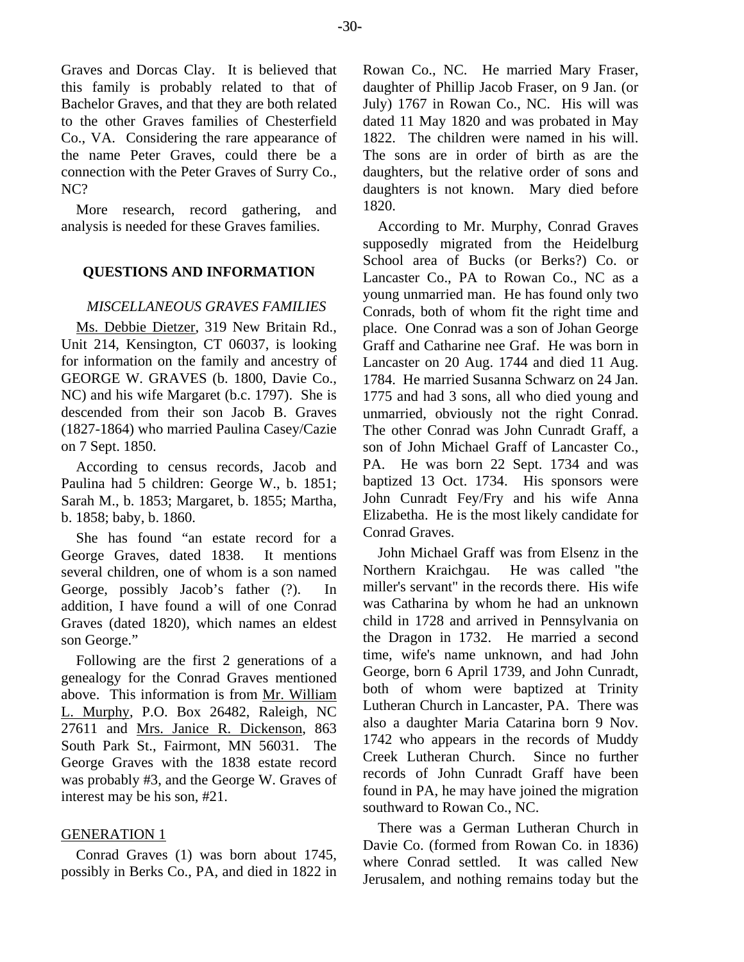Graves and Dorcas Clay. It is believed that this family is probably related to that of Bachelor Graves, and that they are both related to the other Graves families of Chesterfield Co., VA. Considering the rare appearance of the name Peter Graves, could there be a connection with the Peter Graves of Surry Co., NC?

More research, record gathering, and analysis is needed for these Graves families.

# **QUESTIONS AND INFORMATION**

# *MISCELLANEOUS GRAVES FAMILIES*

Ms. Debbie Dietzer, 319 New Britain Rd., Unit 214, Kensington, CT 06037, is looking for information on the family and ancestry of GEORGE W. GRAVES (b. 1800, Davie Co., NC) and his wife Margaret (b.c. 1797). She is descended from their son Jacob B. Graves (1827-1864) who married Paulina Casey/Cazie on 7 Sept. 1850.

According to census records, Jacob and Paulina had 5 children: George W., b. 1851; Sarah M., b. 1853; Margaret, b. 1855; Martha, b. 1858; baby, b. 1860.

She has found "an estate record for a George Graves, dated 1838. It mentions several children, one of whom is a son named George, possibly Jacob's father (?). In addition, I have found a will of one Conrad Graves (dated 1820), which names an eldest son George."

Following are the first 2 generations of a genealogy for the Conrad Graves mentioned above. This information is from Mr. William L. Murphy, P.O. Box 26482, Raleigh, NC 27611 and Mrs. Janice R. Dickenson, 863 South Park St., Fairmont, MN 56031. The George Graves with the 1838 estate record was probably #3, and the George W. Graves of interest may be his son, #21.

# GENERATION 1

Conrad Graves (1) was born about 1745, possibly in Berks Co., PA, and died in 1822 in Rowan Co., NC. He married Mary Fraser, daughter of Phillip Jacob Fraser, on 9 Jan. (or July) 1767 in Rowan Co., NC. His will was dated 11 May 1820 and was probated in May 1822. The children were named in his will. The sons are in order of birth as are the daughters, but the relative order of sons and daughters is not known. Mary died before 1820.

According to Mr. Murphy, Conrad Graves supposedly migrated from the Heidelburg School area of Bucks (or Berks?) Co. or Lancaster Co., PA to Rowan Co., NC as a young unmarried man. He has found only two Conrads, both of whom fit the right time and place. One Conrad was a son of Johan George Graff and Catharine nee Graf. He was born in Lancaster on 20 Aug. 1744 and died 11 Aug. 1784. He married Susanna Schwarz on 24 Jan. 1775 and had 3 sons, all who died young and unmarried, obviously not the right Conrad. The other Conrad was John Cunradt Graff, a son of John Michael Graff of Lancaster Co., PA. He was born 22 Sept. 1734 and was baptized 13 Oct. 1734. His sponsors were John Cunradt Fey/Fry and his wife Anna Elizabetha. He is the most likely candidate for Conrad Graves.

John Michael Graff was from Elsenz in the Northern Kraichgau. He was called "the miller's servant" in the records there. His wife was Catharina by whom he had an unknown child in 1728 and arrived in Pennsylvania on the Dragon in 1732. He married a second time, wife's name unknown, and had John George, born 6 April 1739, and John Cunradt, both of whom were baptized at Trinity Lutheran Church in Lancaster, PA. There was also a daughter Maria Catarina born 9 Nov. 1742 who appears in the records of Muddy Creek Lutheran Church. Since no further records of John Cunradt Graff have been found in PA, he may have joined the migration southward to Rowan Co., NC.

There was a German Lutheran Church in Davie Co. (formed from Rowan Co. in 1836) where Conrad settled. It was called New Jerusalem, and nothing remains today but the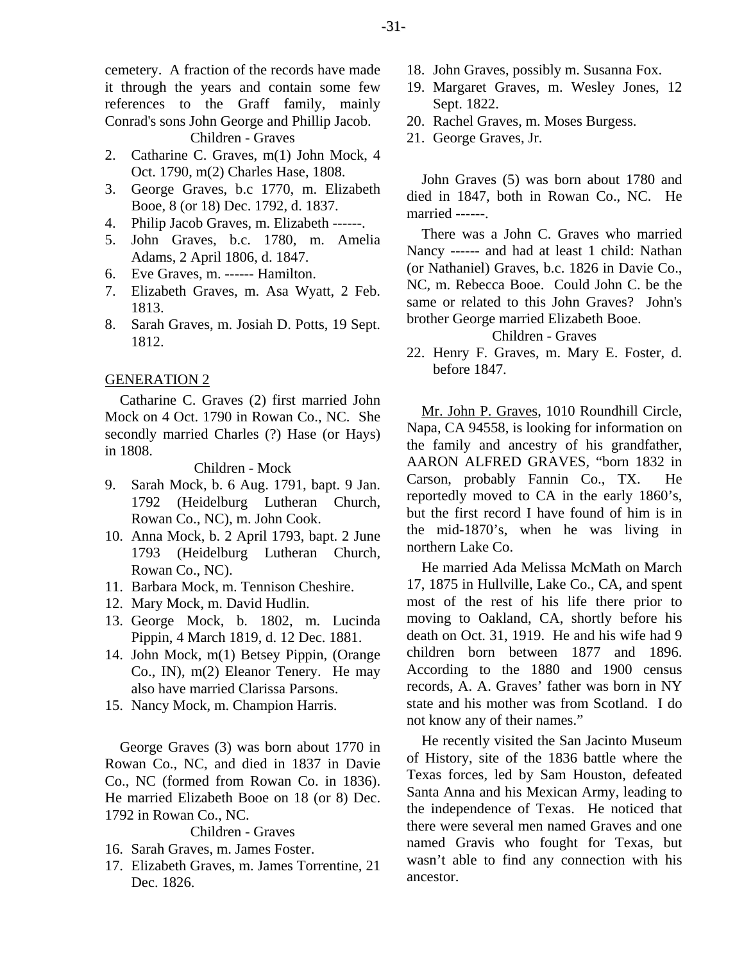cemetery. A fraction of the records have made it through the years and contain some few references to the Graff family, mainly Conrad's sons John George and Phillip Jacob. Children - Graves

- 2. Catharine C. Graves, m(1) John Mock, 4 Oct. 1790, m(2) Charles Hase, 1808.
- 3. George Graves, b.c 1770, m. Elizabeth Booe, 8 (or 18) Dec. 1792, d. 1837.
- 4. Philip Jacob Graves, m. Elizabeth ------.
- 5. John Graves, b.c. 1780, m. Amelia Adams, 2 April 1806, d. 1847.
- 6. Eve Graves, m. ------ Hamilton.
- 7. Elizabeth Graves, m. Asa Wyatt, 2 Feb. 1813.
- 8. Sarah Graves, m. Josiah D. Potts, 19 Sept. 1812.

# GENERATION 2

Catharine C. Graves (2) first married John Mock on 4 Oct. 1790 in Rowan Co., NC. She secondly married Charles (?) Hase (or Hays) in 1808.

Children - Mock

- 9. Sarah Mock, b. 6 Aug. 1791, bapt. 9 Jan. 1792 (Heidelburg Lutheran Church, Rowan Co., NC), m. John Cook.
- 10. Anna Mock, b. 2 April 1793, bapt. 2 June 1793 (Heidelburg Lutheran Church, Rowan Co., NC).
- 11. Barbara Mock, m. Tennison Cheshire.
- 12. Mary Mock, m. David Hudlin.
- 13. George Mock, b. 1802, m. Lucinda Pippin, 4 March 1819, d. 12 Dec. 1881.
- 14. John Mock, m(1) Betsey Pippin, (Orange Co., IN), m(2) Eleanor Tenery. He may also have married Clarissa Parsons.
- 15. Nancy Mock, m. Champion Harris.

George Graves (3) was born about 1770 in Rowan Co., NC, and died in 1837 in Davie Co., NC (formed from Rowan Co. in 1836). He married Elizabeth Booe on 18 (or 8) Dec. 1792 in Rowan Co., NC.

# Children - Graves

- 16. Sarah Graves, m. James Foster.
- 17. Elizabeth Graves, m. James Torrentine, 21 Dec. 1826.
- 18. John Graves, possibly m. Susanna Fox.
- 19. Margaret Graves, m. Wesley Jones, 12 Sept. 1822.
- 20. Rachel Graves, m. Moses Burgess.
- 21. George Graves, Jr.

John Graves (5) was born about 1780 and died in 1847, both in Rowan Co., NC. He married ------.

There was a John C. Graves who married Nancy ------ and had at least 1 child: Nathan (or Nathaniel) Graves, b.c. 1826 in Davie Co., NC, m. Rebecca Booe. Could John C. be the same or related to this John Graves? John's brother George married Elizabeth Booe.

# Children - Graves

22. Henry F. Graves, m. Mary E. Foster, d. before 1847.

Mr. John P. Graves, 1010 Roundhill Circle, Napa, CA 94558, is looking for information on the family and ancestry of his grandfather, AARON ALFRED GRAVES, "born 1832 in Carson, probably Fannin Co., TX. He reportedly moved to CA in the early 1860's, but the first record I have found of him is in the mid-1870's, when he was living in northern Lake Co.

He married Ada Melissa McMath on March 17, 1875 in Hullville, Lake Co., CA, and spent most of the rest of his life there prior to moving to Oakland, CA, shortly before his death on Oct. 31, 1919. He and his wife had 9 children born between 1877 and 1896. According to the 1880 and 1900 census records, A. A. Graves' father was born in NY state and his mother was from Scotland. I do not know any of their names."

He recently visited the San Jacinto Museum of History, site of the 1836 battle where the Texas forces, led by Sam Houston, defeated Santa Anna and his Mexican Army, leading to the independence of Texas. He noticed that there were several men named Graves and one named Gravis who fought for Texas, but wasn't able to find any connection with his ancestor.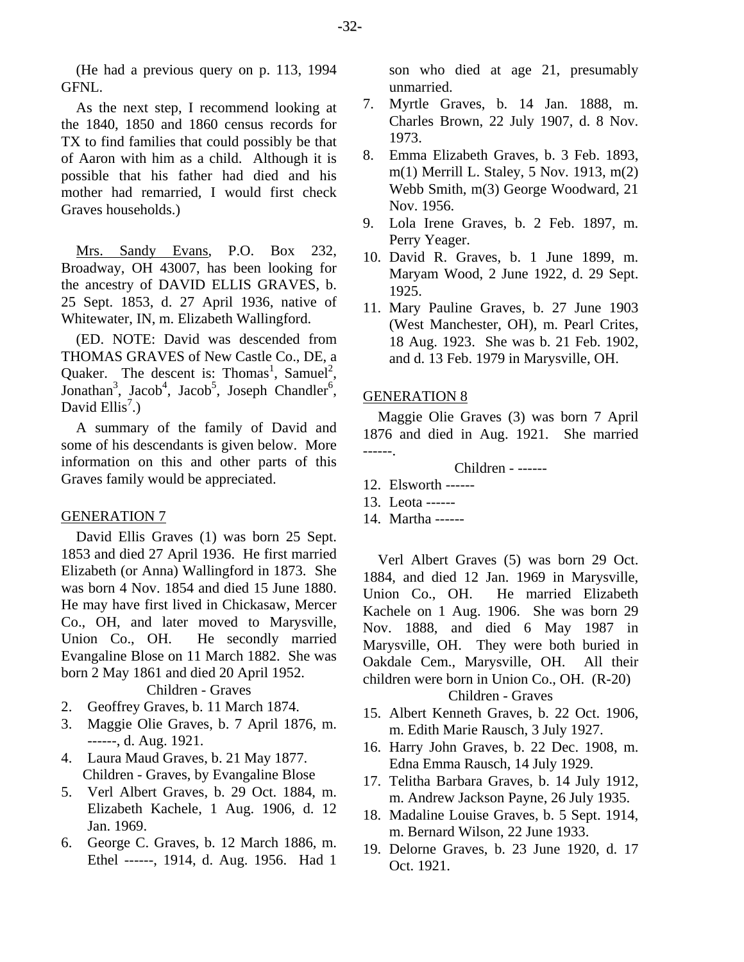(He had a previous query on p. 113, 1994 GFNL.

As the next step, I recommend looking at the 1840, 1850 and 1860 census records for TX to find families that could possibly be that of Aaron with him as a child. Although it is possible that his father had died and his mother had remarried, I would first check Graves households.)

Mrs. Sandy Evans, P.O. Box 232, Broadway, OH 43007, has been looking for the ancestry of DAVID ELLIS GRAVES, b. 25 Sept. 1853, d. 27 April 1936, native of Whitewater, IN, m. Elizabeth Wallingford.

(ED. NOTE: David was descended from THOMAS GRAVES of New Castle Co., DE, a Quaker. The descent is: Thomas<sup>1</sup>, Samuel<sup>2</sup>, Jonathan<sup>3</sup>, Jacob<sup>4</sup>, Jacob<sup>5</sup>, Joseph Chandler<sup>6</sup>, David Ellis<sup>7</sup>.)

A summary of the family of David and some of his descendants is given below. More information on this and other parts of this Graves family would be appreciated.

#### GENERATION 7

David Ellis Graves (1) was born 25 Sept. 1853 and died 27 April 1936. He first married Elizabeth (or Anna) Wallingford in 1873. She was born 4 Nov. 1854 and died 15 June 1880. He may have first lived in Chickasaw, Mercer Co., OH, and later moved to Marysville, Union Co., OH. He secondly married Evangaline Blose on 11 March 1882. She was born 2 May 1861 and died 20 April 1952.

Children - Graves

- 2. Geoffrey Graves, b. 11 March 1874.
- 3. Maggie Olie Graves, b. 7 April 1876, m. ------, d. Aug. 1921.
- 4. Laura Maud Graves, b. 21 May 1877. Children - Graves, by Evangaline Blose
- 5. Verl Albert Graves, b. 29 Oct. 1884, m. Elizabeth Kachele, 1 Aug. 1906, d. 12 Jan. 1969.
- 6. George C. Graves, b. 12 March 1886, m. Ethel ------, 1914, d. Aug. 1956. Had 1

son who died at age 21, presumably unmarried.

- 7. Myrtle Graves, b. 14 Jan. 1888, m. Charles Brown, 22 July 1907, d. 8 Nov. 1973.
- 8. Emma Elizabeth Graves, b. 3 Feb. 1893, m(1) Merrill L. Staley, 5 Nov. 1913, m(2) Webb Smith, m(3) George Woodward, 21 Nov. 1956.
- 9. Lola Irene Graves, b. 2 Feb. 1897, m. Perry Yeager.
- 10. David R. Graves, b. 1 June 1899, m. Maryam Wood, 2 June 1922, d. 29 Sept. 1925.
- 11. Mary Pauline Graves, b. 27 June 1903 (West Manchester, OH), m. Pearl Crites, 18 Aug. 1923. She was b. 21 Feb. 1902, and d. 13 Feb. 1979 in Marysville, OH.

# GENERATION 8

Maggie Olie Graves (3) was born 7 April 1876 and died in Aug. 1921. She married ------.

Children - ------

- 12. Elsworth ------
- 13. Leota ------
- 14. Martha ------

Verl Albert Graves (5) was born 29 Oct. 1884, and died 12 Jan. 1969 in Marysville, Union Co., OH. He married Elizabeth Kachele on 1 Aug. 1906. She was born 29 Nov. 1888, and died 6 May 1987 in Marysville, OH. They were both buried in Oakdale Cem., Marysville, OH. All their children were born in Union Co., OH. (R-20) Children - Graves

- 15. Albert Kenneth Graves, b. 22 Oct. 1906, m. Edith Marie Rausch, 3 July 1927.
- 16. Harry John Graves, b. 22 Dec. 1908, m. Edna Emma Rausch, 14 July 1929.
- 17. Telitha Barbara Graves, b. 14 July 1912, m. Andrew Jackson Payne, 26 July 1935.
- 18. Madaline Louise Graves, b. 5 Sept. 1914, m. Bernard Wilson, 22 June 1933.
- 19. Delorne Graves, b. 23 June 1920, d. 17 Oct. 1921.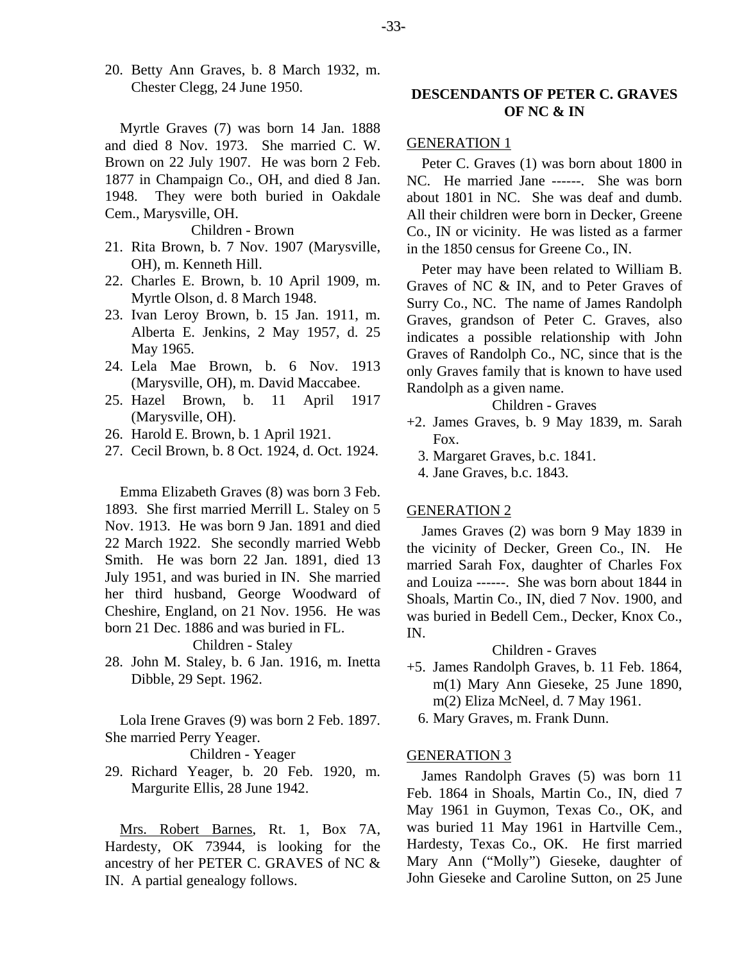20. Betty Ann Graves, b. 8 March 1932, m. Chester Clegg, 24 June 1950.

Myrtle Graves (7) was born 14 Jan. 1888 and died 8 Nov. 1973. She married C. W. Brown on 22 July 1907. He was born 2 Feb. 1877 in Champaign Co., OH, and died 8 Jan. 1948. They were both buried in Oakdale Cem., Marysville, OH.

Children - Brown

- 21. Rita Brown, b. 7 Nov. 1907 (Marysville, OH), m. Kenneth Hill.
- 22. Charles E. Brown, b. 10 April 1909, m. Myrtle Olson, d. 8 March 1948.
- 23. Ivan Leroy Brown, b. 15 Jan. 1911, m. Alberta E. Jenkins, 2 May 1957, d. 25 May 1965.
- 24. Lela Mae Brown, b. 6 Nov. 1913 (Marysville, OH), m. David Maccabee.
- 25. Hazel Brown, b. 11 April 1917 (Marysville, OH).
- 26. Harold E. Brown, b. 1 April 1921.
- 27. Cecil Brown, b. 8 Oct. 1924, d. Oct. 1924.

Emma Elizabeth Graves (8) was born 3 Feb. 1893. She first married Merrill L. Staley on 5 Nov. 1913. He was born 9 Jan. 1891 and died 22 March 1922. She secondly married Webb Smith. He was born 22 Jan. 1891, died 13 July 1951, and was buried in IN. She married her third husband, George Woodward of Cheshire, England, on 21 Nov. 1956. He was born 21 Dec. 1886 and was buried in FL.

Children - Staley

28. John M. Staley, b. 6 Jan. 1916, m. Inetta Dibble, 29 Sept. 1962.

Lola Irene Graves (9) was born 2 Feb. 1897. She married Perry Yeager.

Children - Yeager

29. Richard Yeager, b. 20 Feb. 1920, m. Margurite Ellis, 28 June 1942.

Mrs. Robert Barnes, Rt. 1, Box 7A, Hardesty, OK 73944, is looking for the ancestry of her PETER C. GRAVES of NC & IN. A partial genealogy follows.

# **DESCENDANTS OF PETER C. GRAVES OF NC & IN**

#### GENERATION 1

Peter C. Graves (1) was born about 1800 in NC. He married Jane ------. She was born about 1801 in NC. She was deaf and dumb. All their children were born in Decker, Greene Co., IN or vicinity. He was listed as a farmer in the 1850 census for Greene Co., IN.

Peter may have been related to William B. Graves of NC & IN, and to Peter Graves of Surry Co., NC. The name of James Randolph Graves, grandson of Peter C. Graves, also indicates a possible relationship with John Graves of Randolph Co., NC, since that is the only Graves family that is known to have used Randolph as a given name.

## Children - Graves

- +2. James Graves, b. 9 May 1839, m. Sarah Fox.
	- 3. Margaret Graves, b.c. 1841.
	- 4. Jane Graves, b.c. 1843.

#### GENERATION 2

James Graves (2) was born 9 May 1839 in the vicinity of Decker, Green Co., IN. He married Sarah Fox, daughter of Charles Fox and Louiza ------. She was born about 1844 in Shoals, Martin Co., IN, died 7 Nov. 1900, and was buried in Bedell Cem., Decker, Knox Co., IN.

# Children - Graves

+5. James Randolph Graves, b. 11 Feb. 1864, m(1) Mary Ann Gieseke, 25 June 1890, m(2) Eliza McNeel, d. 7 May 1961.

6. Mary Graves, m. Frank Dunn.

## GENERATION 3

James Randolph Graves (5) was born 11 Feb. 1864 in Shoals, Martin Co., IN, died 7 May 1961 in Guymon, Texas Co., OK, and was buried 11 May 1961 in Hartville Cem., Hardesty, Texas Co., OK. He first married Mary Ann ("Molly") Gieseke, daughter of John Gieseke and Caroline Sutton, on 25 June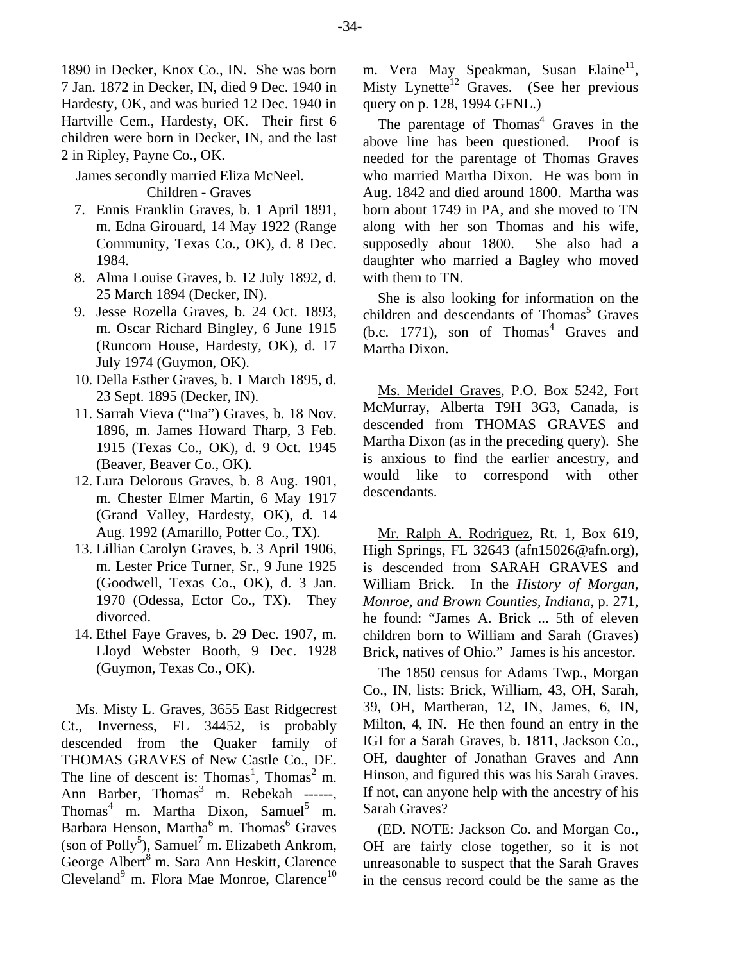1890 in Decker, Knox Co., IN. She was born 7 Jan. 1872 in Decker, IN, died 9 Dec. 1940 in Hardesty, OK, and was buried 12 Dec. 1940 in Hartville Cem., Hardesty, OK. Their first 6 children were born in Decker, IN, and the last 2 in Ripley, Payne Co., OK.

James secondly married Eliza McNeel. Children - Graves

- 7. Ennis Franklin Graves, b. 1 April 1891, m. Edna Girouard, 14 May 1922 (Range Community, Texas Co., OK), d. 8 Dec. 1984.
- 8. Alma Louise Graves, b. 12 July 1892, d. 25 March 1894 (Decker, IN).
- 9. Jesse Rozella Graves, b. 24 Oct. 1893, m. Oscar Richard Bingley, 6 June 1915 (Runcorn House, Hardesty, OK), d. 17 July 1974 (Guymon, OK).
- 10. Della Esther Graves, b. 1 March 1895, d. 23 Sept. 1895 (Decker, IN).
- 11. Sarrah Vieva ("Ina") Graves, b. 18 Nov. 1896, m. James Howard Tharp, 3 Feb. 1915 (Texas Co., OK), d. 9 Oct. 1945 (Beaver, Beaver Co., OK).
- 12. Lura Delorous Graves, b. 8 Aug. 1901, m. Chester Elmer Martin, 6 May 1917 (Grand Valley, Hardesty, OK), d. 14 Aug. 1992 (Amarillo, Potter Co., TX).
- 13. Lillian Carolyn Graves, b. 3 April 1906, m. Lester Price Turner, Sr., 9 June 1925 (Goodwell, Texas Co., OK), d. 3 Jan. 1970 (Odessa, Ector Co., TX). They divorced.
- 14. Ethel Faye Graves, b. 29 Dec. 1907, m. Lloyd Webster Booth, 9 Dec. 1928 (Guymon, Texas Co., OK).

Ms. Misty L. Graves, 3655 East Ridgecrest Ct., Inverness, FL 34452, is probably descended from the Quaker family of THOMAS GRAVES of New Castle Co., DE. The line of descent is: Thomas<sup>1</sup>, Thomas<sup>2</sup> m. Ann Barber, Thomas<sup>3</sup> m. Rebekah ------, Thomas<sup>4</sup> m. Martha Dixon, Samuel<sup>5</sup> m. Barbara Henson, Martha<sup>6</sup> m. Thomas<sup>6</sup> Graves (son of Polly<sup>5</sup>), Samuel<sup>7</sup> m. Elizabeth Ankrom, George Albert<sup>8</sup> m. Sara Ann Heskitt, Clarence Cleveland<sup>9</sup> m. Flora Mae Monroe, Clarence<sup>10</sup>

m. Vera May Speakman, Susan Elaine<sup>11</sup>, Misty Lynette<sup>12</sup> Graves. (See her previous query on p. 128, 1994 GFNL.)

The parentage of Thomas<sup>4</sup> Graves in the above line has been questioned. Proof is needed for the parentage of Thomas Graves who married Martha Dixon. He was born in Aug. 1842 and died around 1800. Martha was born about 1749 in PA, and she moved to TN along with her son Thomas and his wife, supposedly about 1800. She also had a daughter who married a Bagley who moved with them to TN.

She is also looking for information on the children and descendants of Thomas<sup>5</sup> Graves  $(b.c. 1771)$ , son of Thomas<sup>4</sup> Graves and Martha Dixon.

Ms. Meridel Graves, P.O. Box 5242, Fort McMurray, Alberta T9H 3G3, Canada, is descended from THOMAS GRAVES and Martha Dixon (as in the preceding query). She is anxious to find the earlier ancestry, and would like to correspond with other descendants.

Mr. Ralph A. Rodriguez, Rt. 1, Box 619, High Springs, FL 32643 (afn15026@afn.org), is descended from SARAH GRAVES and William Brick. In the *History of Morgan, Monroe, and Brown Counties, Indiana*, p. 271, he found: "James A. Brick ... 5th of eleven children born to William and Sarah (Graves) Brick, natives of Ohio." James is his ancestor.

The 1850 census for Adams Twp., Morgan Co., IN, lists: Brick, William, 43, OH, Sarah, 39, OH, Martheran, 12, IN, James, 6, IN, Milton, 4, IN. He then found an entry in the IGI for a Sarah Graves, b. 1811, Jackson Co., OH, daughter of Jonathan Graves and Ann Hinson, and figured this was his Sarah Graves. If not, can anyone help with the ancestry of his Sarah Graves?

(ED. NOTE: Jackson Co. and Morgan Co., OH are fairly close together, so it is not unreasonable to suspect that the Sarah Graves in the census record could be the same as the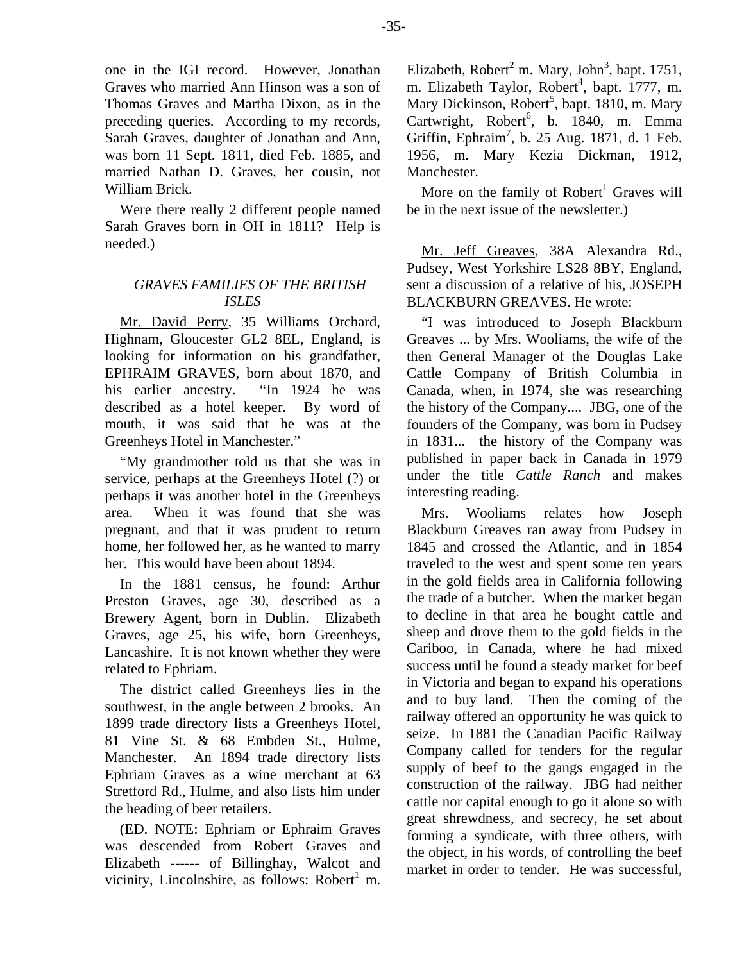one in the IGI record. However, Jonathan Graves who married Ann Hinson was a son of Thomas Graves and Martha Dixon, as in the preceding queries. According to my records, Sarah Graves, daughter of Jonathan and Ann, was born 11 Sept. 1811, died Feb. 1885, and married Nathan D. Graves, her cousin, not William Brick.

Were there really 2 different people named Sarah Graves born in OH in 1811? Help is needed.)

# *GRAVES FAMILIES OF THE BRITISH ISLES*

Mr. David Perry, 35 Williams Orchard, Highnam, Gloucester GL2 8EL, England, is looking for information on his grandfather, EPHRAIM GRAVES, born about 1870, and his earlier ancestry. "In 1924 he was described as a hotel keeper. By word of mouth, it was said that he was at the Greenheys Hotel in Manchester."

"My grandmother told us that she was in service, perhaps at the Greenheys Hotel (?) or perhaps it was another hotel in the Greenheys area. When it was found that she was pregnant, and that it was prudent to return home, her followed her, as he wanted to marry her. This would have been about 1894.

In the 1881 census, he found: Arthur Preston Graves, age 30, described as a Brewery Agent, born in Dublin. Elizabeth Graves, age 25, his wife, born Greenheys, Lancashire. It is not known whether they were related to Ephriam.

The district called Greenheys lies in the southwest, in the angle between 2 brooks. An 1899 trade directory lists a Greenheys Hotel, 81 Vine St. & 68 Embden St., Hulme, Manchester. An 1894 trade directory lists Ephriam Graves as a wine merchant at 63 Stretford Rd., Hulme, and also lists him under the heading of beer retailers.

(ED. NOTE: Ephriam or Ephraim Graves was descended from Robert Graves and Elizabeth ------ of Billinghay, Walcot and vicinity, Lincolnshire, as follows: Robert<sup>1</sup> m.

Elizabeth, Robert<sup>2</sup> m. Mary, John<sup>3</sup>, bapt. 1751, m. Elizabeth Taylor, Robert<sup>4</sup>, bapt. 1777, m. Mary Dickinson, Robert<sup>5</sup>, bapt. 1810, m. Mary Cartwright, Robert<sup>6</sup>, b. 1840, m. Emma Griffin, Ephraim<sup>7</sup>, b. 25 Aug. 1871, d. 1 Feb. 1956, m. Mary Kezia Dickman, 1912, Manchester.

More on the family of  $Robert<sup>1</sup>$  Graves will be in the next issue of the newsletter.)

Mr. Jeff Greaves, 38A Alexandra Rd., Pudsey, West Yorkshire LS28 8BY, England, sent a discussion of a relative of his, JOSEPH BLACKBURN GREAVES. He wrote:

"I was introduced to Joseph Blackburn Greaves ... by Mrs. Wooliams, the wife of the then General Manager of the Douglas Lake Cattle Company of British Columbia in Canada, when, in 1974, she was researching the history of the Company.... JBG, one of the founders of the Company, was born in Pudsey in 1831... the history of the Company was published in paper back in Canada in 1979 under the title *Cattle Ranch* and makes interesting reading.

Mrs. Wooliams relates how Joseph Blackburn Greaves ran away from Pudsey in 1845 and crossed the Atlantic, and in 1854 traveled to the west and spent some ten years in the gold fields area in California following the trade of a butcher. When the market began to decline in that area he bought cattle and sheep and drove them to the gold fields in the Cariboo, in Canada, where he had mixed success until he found a steady market for beef in Victoria and began to expand his operations and to buy land. Then the coming of the railway offered an opportunity he was quick to seize. In 1881 the Canadian Pacific Railway Company called for tenders for the regular supply of beef to the gangs engaged in the construction of the railway. JBG had neither cattle nor capital enough to go it alone so with great shrewdness, and secrecy, he set about forming a syndicate, with three others, with the object, in his words, of controlling the beef market in order to tender. He was successful,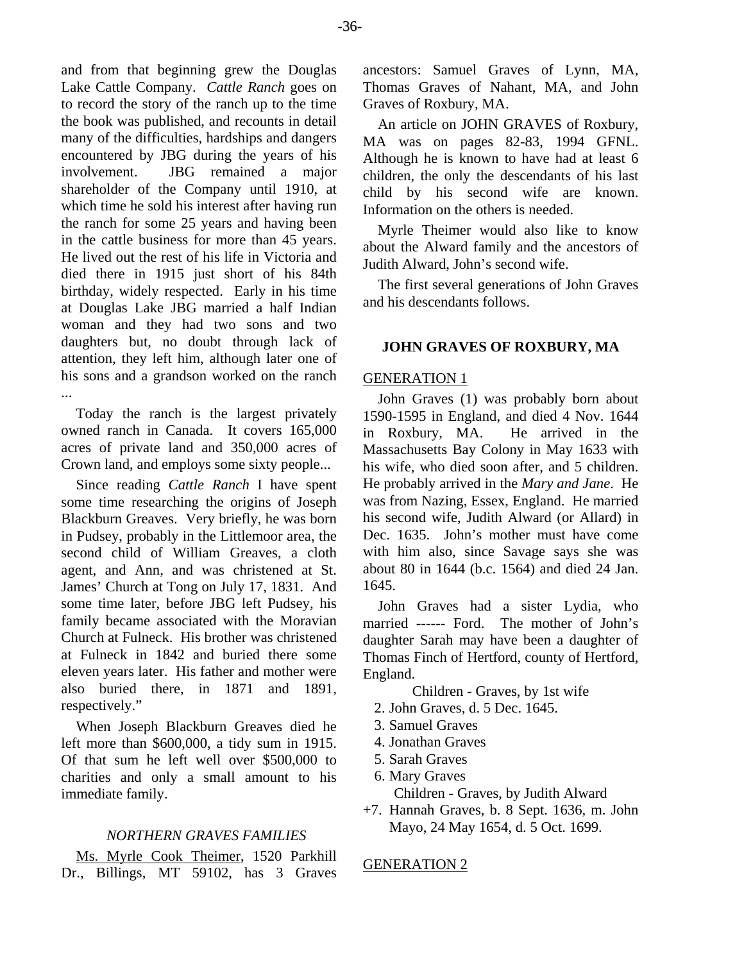and from that beginning grew the Douglas Lake Cattle Company. *Cattle Ranch* goes on to record the story of the ranch up to the time the book was published, and recounts in detail many of the difficulties, hardships and dangers encountered by JBG during the years of his involvement. JBG remained a major shareholder of the Company until 1910, at which time he sold his interest after having run the ranch for some 25 years and having been in the cattle business for more than 45 years. He lived out the rest of his life in Victoria and died there in 1915 just short of his 84th birthday, widely respected. Early in his time at Douglas Lake JBG married a half Indian woman and they had two sons and two daughters but, no doubt through lack of attention, they left him, although later one of his sons and a grandson worked on the ranch ...

Today the ranch is the largest privately owned ranch in Canada. It covers 165,000 acres of private land and 350,000 acres of Crown land, and employs some sixty people...

Since reading *Cattle Ranch* I have spent some time researching the origins of Joseph Blackburn Greaves. Very briefly, he was born in Pudsey, probably in the Littlemoor area, the second child of William Greaves, a cloth agent, and Ann, and was christened at St. James' Church at Tong on July 17, 1831. And some time later, before JBG left Pudsey, his family became associated with the Moravian Church at Fulneck. His brother was christened at Fulneck in 1842 and buried there some eleven years later. His father and mother were also buried there, in 1871 and 1891, respectively."

When Joseph Blackburn Greaves died he left more than \$600,000, a tidy sum in 1915. Of that sum he left well over \$500,000 to charities and only a small amount to his immediate family.

# *NORTHERN GRAVES FAMILIES*

Ms. Myrle Cook Theimer, 1520 Parkhill Dr., Billings, MT 59102, has 3 Graves ancestors: Samuel Graves of Lynn, MA, Thomas Graves of Nahant, MA, and John Graves of Roxbury, MA.

An article on JOHN GRAVES of Roxbury, MA was on pages 82-83, 1994 GFNL. Although he is known to have had at least 6 children, the only the descendants of his last child by his second wife are known. Information on the others is needed.

Myrle Theimer would also like to know about the Alward family and the ancestors of Judith Alward, John's second wife.

The first several generations of John Graves and his descendants follows.

## **JOHN GRAVES OF ROXBURY, MA**

#### GENERATION 1

John Graves (1) was probably born about 1590-1595 in England, and died 4 Nov. 1644 in Roxbury, MA. He arrived in the Massachusetts Bay Colony in May 1633 with his wife, who died soon after, and 5 children. He probably arrived in the *Mary and Jane*. He was from Nazing, Essex, England. He married his second wife, Judith Alward (or Allard) in Dec. 1635. John's mother must have come with him also, since Savage says she was about 80 in 1644 (b.c. 1564) and died 24 Jan. 1645.

John Graves had a sister Lydia, who married ------ Ford. The mother of John's daughter Sarah may have been a daughter of Thomas Finch of Hertford, county of Hertford, England.

Children - Graves, by 1st wife

- 2. John Graves, d. 5 Dec. 1645.
- 3. Samuel Graves
- 4. Jonathan Graves
- 5. Sarah Graves
- 6. Mary Graves

Children - Graves, by Judith Alward

+7. Hannah Graves, b. 8 Sept. 1636, m. John Mayo, 24 May 1654, d. 5 Oct. 1699.

## GENERATION 2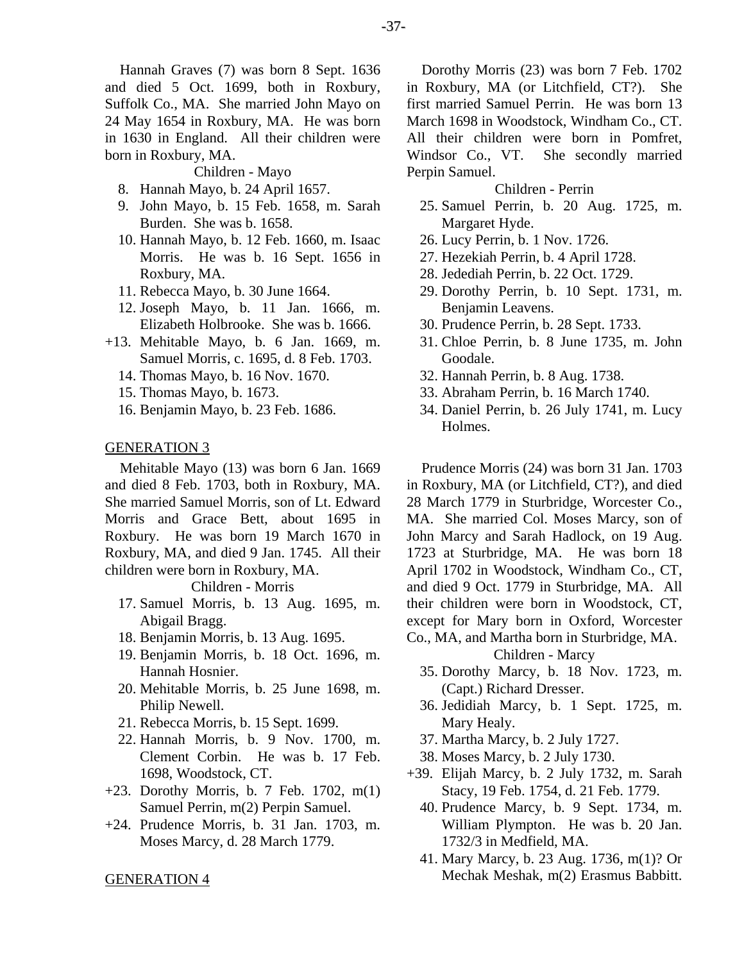Hannah Graves (7) was born 8 Sept. 1636 and died 5 Oct. 1699, both in Roxbury, Suffolk Co., MA. She married John Mayo on 24 May 1654 in Roxbury, MA. He was born in 1630 in England. All their children were born in Roxbury, MA.

Children - Mayo

- 8. Hannah Mayo, b. 24 April 1657.
- 9. John Mayo, b. 15 Feb. 1658, m. Sarah Burden. She was b. 1658.
- 10. Hannah Mayo, b. 12 Feb. 1660, m. Isaac Morris. He was b. 16 Sept. 1656 in Roxbury, MA.
- 11. Rebecca Mayo, b. 30 June 1664.
- 12. Joseph Mayo, b. 11 Jan. 1666, m. Elizabeth Holbrooke. She was b. 1666.
- +13. Mehitable Mayo, b. 6 Jan. 1669, m. Samuel Morris, c. 1695, d. 8 Feb. 1703.
	- 14. Thomas Mayo, b. 16 Nov. 1670.
	- 15. Thomas Mayo, b. 1673.
	- 16. Benjamin Mayo, b. 23 Feb. 1686.

# GENERATION 3

Mehitable Mayo (13) was born 6 Jan. 1669 and died 8 Feb. 1703, both in Roxbury, MA. She married Samuel Morris, son of Lt. Edward Morris and Grace Bett, about 1695 in Roxbury. He was born 19 March 1670 in Roxbury, MA, and died 9 Jan. 1745. All their children were born in Roxbury, MA.

#### Children - Morris

- 17. Samuel Morris, b. 13 Aug. 1695, m. Abigail Bragg.
- 18. Benjamin Morris, b. 13 Aug. 1695.
- 19. Benjamin Morris, b. 18 Oct. 1696, m. Hannah Hosnier.
- 20. Mehitable Morris, b. 25 June 1698, m. Philip Newell.
- 21. Rebecca Morris, b. 15 Sept. 1699.
- 22. Hannah Morris, b. 9 Nov. 1700, m. Clement Corbin. He was b. 17 Feb. 1698, Woodstock, CT.
- +23. Dorothy Morris, b. 7 Feb. 1702, m(1) Samuel Perrin, m(2) Perpin Samuel.
- +24. Prudence Morris, b. 31 Jan. 1703, m. Moses Marcy, d. 28 March 1779.

#### GENERATION 4

Dorothy Morris (23) was born 7 Feb. 1702 in Roxbury, MA (or Litchfield, CT?). She first married Samuel Perrin. He was born 13 March 1698 in Woodstock, Windham Co., CT. All their children were born in Pomfret, Windsor Co., VT. She secondly married Perpin Samuel.

#### Children - Perrin

- 25. Samuel Perrin, b. 20 Aug. 1725, m. Margaret Hyde.
- 26. Lucy Perrin, b. 1 Nov. 1726.
- 27. Hezekiah Perrin, b. 4 April 1728.
- 28. Jedediah Perrin, b. 22 Oct. 1729.
- 29. Dorothy Perrin, b. 10 Sept. 1731, m. Benjamin Leavens.
- 30. Prudence Perrin, b. 28 Sept. 1733.
- 31. Chloe Perrin, b. 8 June 1735, m. John Goodale.
- 32. Hannah Perrin, b. 8 Aug. 1738.
- 33. Abraham Perrin, b. 16 March 1740.
- 34. Daniel Perrin, b. 26 July 1741, m. Lucy Holmes.

Prudence Morris (24) was born 31 Jan. 1703 in Roxbury, MA (or Litchfield, CT?), and died 28 March 1779 in Sturbridge, Worcester Co., MA. She married Col. Moses Marcy, son of John Marcy and Sarah Hadlock, on 19 Aug. 1723 at Sturbridge, MA. He was born 18 April 1702 in Woodstock, Windham Co., CT, and died 9 Oct. 1779 in Sturbridge, MA. All their children were born in Woodstock, CT, except for Mary born in Oxford, Worcester Co., MA, and Martha born in Sturbridge, MA.

Children - Marcy

- 35. Dorothy Marcy, b. 18 Nov. 1723, m. (Capt.) Richard Dresser.
- 36. Jedidiah Marcy, b. 1 Sept. 1725, m. Mary Healy.
- 37. Martha Marcy, b. 2 July 1727.
- 38. Moses Marcy, b. 2 July 1730.
- +39. Elijah Marcy, b. 2 July 1732, m. Sarah Stacy, 19 Feb. 1754, d. 21 Feb. 1779.
	- 40. Prudence Marcy, b. 9 Sept. 1734, m. William Plympton. He was b. 20 Jan. 1732/3 in Medfield, MA.
	- 41. Mary Marcy, b. 23 Aug. 1736, m(1)? Or Mechak Meshak, m(2) Erasmus Babbitt.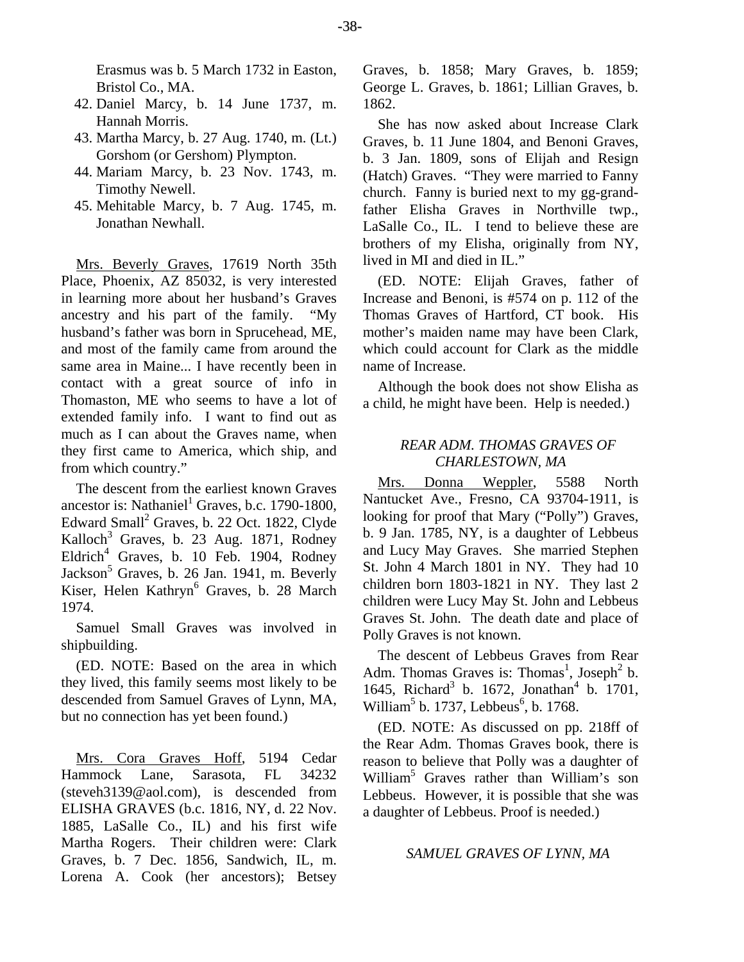Erasmus was b. 5 March 1732 in Easton, Bristol Co., MA.

- 42. Daniel Marcy, b. 14 June 1737, m. Hannah Morris.
- 43. Martha Marcy, b. 27 Aug. 1740, m. (Lt.) Gorshom (or Gershom) Plympton.
- 44. Mariam Marcy, b. 23 Nov. 1743, m. Timothy Newell.
- 45. Mehitable Marcy, b. 7 Aug. 1745, m. Jonathan Newhall.

Mrs. Beverly Graves, 17619 North 35th Place, Phoenix, AZ 85032, is very interested in learning more about her husband's Graves ancestry and his part of the family. "My husband's father was born in Sprucehead, ME, and most of the family came from around the same area in Maine... I have recently been in contact with a great source of info in Thomaston, ME who seems to have a lot of extended family info. I want to find out as much as I can about the Graves name, when they first came to America, which ship, and from which country."

The descent from the earliest known Graves ancestor is: Nathaniel<sup>1</sup> Graves, b.c. 1790-1800, Edward Small<sup>2</sup> Graves, b. 22 Oct. 1822, Clyde Kalloch<sup>3</sup> Graves, b. 23 Aug. 1871, Rodney Eldrich<sup>4</sup> Graves, b. 10 Feb. 1904, Rodney Jackson<sup>5</sup> Graves, b. 26 Jan. 1941, m. Beverly Kiser, Helen Kathryn<sup>6</sup> Graves, b. 28 March 1974.

Samuel Small Graves was involved in shipbuilding.

(ED. NOTE: Based on the area in which they lived, this family seems most likely to be descended from Samuel Graves of Lynn, MA, but no connection has yet been found.)

Mrs. Cora Graves Hoff, 5194 Cedar Hammock Lane, Sarasota, FL 34232 (steveh3139@aol.com), is descended from ELISHA GRAVES (b.c. 1816, NY, d. 22 Nov. 1885, LaSalle Co., IL) and his first wife Martha Rogers. Their children were: Clark Graves, b. 7 Dec. 1856, Sandwich, IL, m. Lorena A. Cook (her ancestors); Betsey Graves, b. 1858; Mary Graves, b. 1859; George L. Graves, b. 1861; Lillian Graves, b. 1862.

She has now asked about Increase Clark Graves, b. 11 June 1804, and Benoni Graves, b. 3 Jan. 1809, sons of Elijah and Resign (Hatch) Graves. "They were married to Fanny church. Fanny is buried next to my gg-grandfather Elisha Graves in Northville twp., LaSalle Co., IL. I tend to believe these are brothers of my Elisha, originally from NY, lived in MI and died in IL."

(ED. NOTE: Elijah Graves, father of Increase and Benoni, is #574 on p. 112 of the Thomas Graves of Hartford, CT book. His mother's maiden name may have been Clark, which could account for Clark as the middle name of Increase.

Although the book does not show Elisha as a child, he might have been. Help is needed.)

# *REAR ADM. THOMAS GRAVES OF CHARLESTOWN, MA*

Mrs. Donna Weppler, 5588 North Nantucket Ave., Fresno, CA 93704-1911, is looking for proof that Mary ("Polly") Graves, b. 9 Jan. 1785, NY, is a daughter of Lebbeus and Lucy May Graves. She married Stephen St. John 4 March 1801 in NY. They had 10 children born 1803-1821 in NY. They last 2 children were Lucy May St. John and Lebbeus Graves St. John. The death date and place of Polly Graves is not known.

The descent of Lebbeus Graves from Rear Adm. Thomas Graves is: Thomas<sup>1</sup>, Joseph<sup>2</sup> b. 1645, Richard<sup>3</sup> b. 1672, Jonathan<sup>4</sup> b. 1701, William<sup>5</sup> b. 1737, Lebbeus<sup>6</sup>, b. 1768.

(ED. NOTE: As discussed on pp. 218ff of the Rear Adm. Thomas Graves book, there is reason to believe that Polly was a daughter of William5 Graves rather than William's son Lebbeus. However, it is possible that she was a daughter of Lebbeus. Proof is needed.)

#### *SAMUEL GRAVES OF LYNN, MA*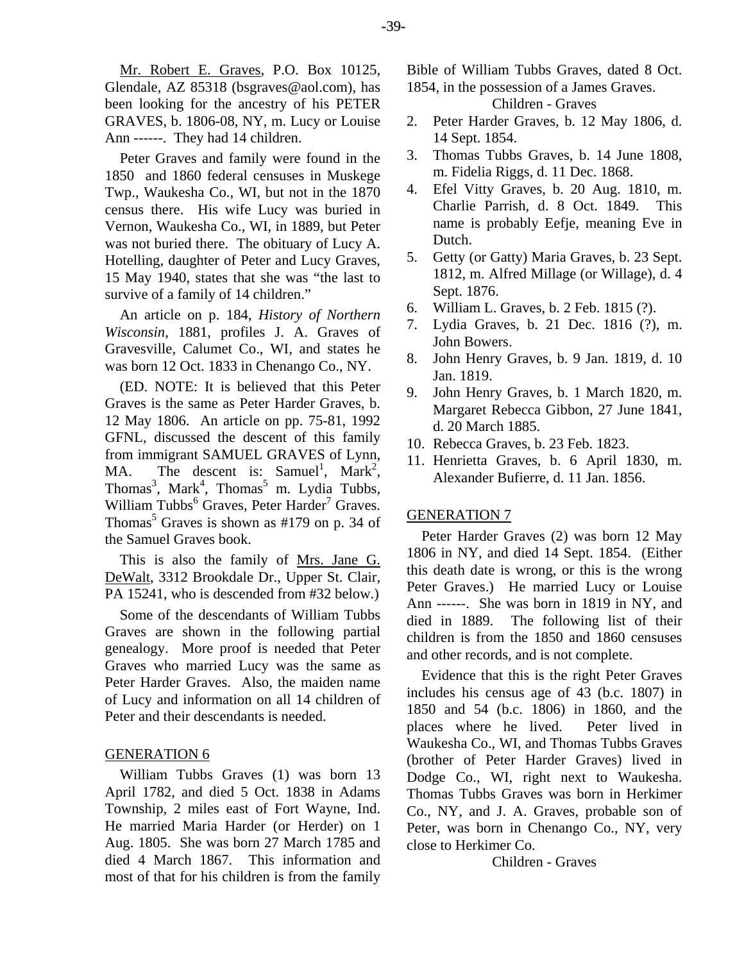Mr. Robert E. Graves, P.O. Box 10125, Glendale, AZ 85318 (bsgraves@aol.com), has been looking for the ancestry of his PETER GRAVES, b. 1806-08, NY, m. Lucy or Louise Ann ------. They had 14 children.

Peter Graves and family were found in the 1850 and 1860 federal censuses in Muskege Twp., Waukesha Co., WI, but not in the 1870 census there. His wife Lucy was buried in Vernon, Waukesha Co., WI, in 1889, but Peter was not buried there. The obituary of Lucy A. Hotelling, daughter of Peter and Lucy Graves, 15 May 1940, states that she was "the last to survive of a family of 14 children."

An article on p. 184, *History of Northern Wisconsin*, 1881, profiles J. A. Graves of Gravesville, Calumet Co., WI, and states he was born 12 Oct. 1833 in Chenango Co., NY.

(ED. NOTE: It is believed that this Peter Graves is the same as Peter Harder Graves, b. 12 May 1806. An article on pp. 75-81, 1992 GFNL, discussed the descent of this family from immigrant SAMUEL GRAVES of Lynn, MA. The descent is: Samuel<sup>1</sup>, Mark<sup>2</sup>, Thomas<sup>3</sup>, Mark<sup>4</sup>, Thomas<sup>5</sup> m. Lydia Tubbs, William Tubbs<sup>6</sup> Graves, Peter Harder<sup>7</sup> Graves. Thomas<sup>5</sup> Graves is shown as  $#179$  on p. 34 of the Samuel Graves book.

This is also the family of Mrs. Jane G. DeWalt, 3312 Brookdale Dr., Upper St. Clair, PA 15241, who is descended from #32 below.)

Some of the descendants of William Tubbs Graves are shown in the following partial genealogy. More proof is needed that Peter Graves who married Lucy was the same as Peter Harder Graves. Also, the maiden name of Lucy and information on all 14 children of Peter and their descendants is needed.

# GENERATION 6

William Tubbs Graves (1) was born 13 April 1782, and died 5 Oct. 1838 in Adams Township, 2 miles east of Fort Wayne, Ind. He married Maria Harder (or Herder) on 1 Aug. 1805. She was born 27 March 1785 and died 4 March 1867. This information and most of that for his children is from the family Bible of William Tubbs Graves, dated 8 Oct. 1854, in the possession of a James Graves.

Children - Graves

- 2. Peter Harder Graves, b. 12 May 1806, d. 14 Sept. 1854.
- 3. Thomas Tubbs Graves, b. 14 June 1808, m. Fidelia Riggs, d. 11 Dec. 1868.
- 4. Efel Vitty Graves, b. 20 Aug. 1810, m. Charlie Parrish, d. 8 Oct. 1849. This name is probably Eefje, meaning Eve in Dutch.
- 5. Getty (or Gatty) Maria Graves, b. 23 Sept. 1812, m. Alfred Millage (or Willage), d. 4 Sept. 1876.
- 6. William L. Graves, b. 2 Feb. 1815 (?).
- 7. Lydia Graves, b. 21 Dec. 1816 (?), m. John Bowers.
- 8. John Henry Graves, b. 9 Jan. 1819, d. 10 Jan. 1819.
- 9. John Henry Graves, b. 1 March 1820, m. Margaret Rebecca Gibbon, 27 June 1841, d. 20 March 1885.
- 10. Rebecca Graves, b. 23 Feb. 1823.
- 11. Henrietta Graves, b. 6 April 1830, m. Alexander Bufierre, d. 11 Jan. 1856.

# GENERATION 7

Peter Harder Graves (2) was born 12 May 1806 in NY, and died 14 Sept. 1854. (Either this death date is wrong, or this is the wrong Peter Graves.) He married Lucy or Louise Ann ------. She was born in 1819 in NY, and died in 1889. The following list of their children is from the 1850 and 1860 censuses and other records, and is not complete.

Evidence that this is the right Peter Graves includes his census age of 43 (b.c. 1807) in 1850 and 54 (b.c. 1806) in 1860, and the places where he lived. Peter lived in Waukesha Co., WI, and Thomas Tubbs Graves (brother of Peter Harder Graves) lived in Dodge Co., WI, right next to Waukesha. Thomas Tubbs Graves was born in Herkimer Co., NY, and J. A. Graves, probable son of Peter, was born in Chenango Co., NY, very close to Herkimer Co.

Children - Graves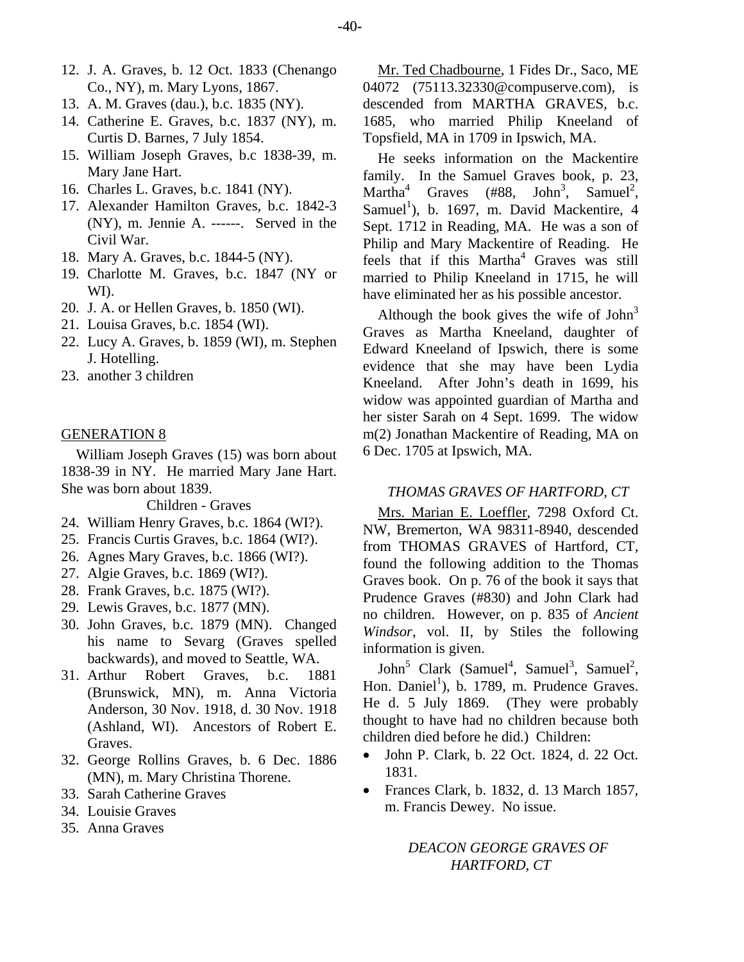- 12. J. A. Graves, b. 12 Oct. 1833 (Chenango Co., NY), m. Mary Lyons, 1867.
- 13. A. M. Graves (dau.), b.c. 1835 (NY).
- 14. Catherine E. Graves, b.c. 1837 (NY), m. Curtis D. Barnes, 7 July 1854.
- 15. William Joseph Graves, b.c 1838-39, m. Mary Jane Hart.
- 16. Charles L. Graves, b.c. 1841 (NY).
- 17. Alexander Hamilton Graves, b.c. 1842-3 (NY), m. Jennie A. ------. Served in the Civil War.
- 18. Mary A. Graves, b.c. 1844-5 (NY).
- 19. Charlotte M. Graves, b.c. 1847 (NY or WI).
- 20. J. A. or Hellen Graves, b. 1850 (WI).
- 21. Louisa Graves, b.c. 1854 (WI).
- 22. Lucy A. Graves, b. 1859 (WI), m. Stephen J. Hotelling.
- 23. another 3 children

# GENERATION 8

William Joseph Graves (15) was born about 1838-39 in NY. He married Mary Jane Hart. She was born about 1839.

Children - Graves

- 24. William Henry Graves, b.c. 1864 (WI?).
- 25. Francis Curtis Graves, b.c. 1864 (WI?).
- 26. Agnes Mary Graves, b.c. 1866 (WI?).
- 27. Algie Graves, b.c. 1869 (WI?).
- 28. Frank Graves, b.c. 1875 (WI?).
- 29. Lewis Graves, b.c. 1877 (MN).
- 30. John Graves, b.c. 1879 (MN). Changed his name to Sevarg (Graves spelled backwards), and moved to Seattle, WA.
- 31. Arthur Robert Graves, b.c. 1881 (Brunswick, MN), m. Anna Victoria Anderson, 30 Nov. 1918, d. 30 Nov. 1918 (Ashland, WI). Ancestors of Robert E. Graves.
- 32. George Rollins Graves, b. 6 Dec. 1886 (MN), m. Mary Christina Thorene.
- 33. Sarah Catherine Graves
- 34. Louisie Graves
- 35. Anna Graves

Mr. Ted Chadbourne, 1 Fides Dr., Saco, ME 04072 (75113.32330@compuserve.com), is descended from MARTHA GRAVES, b.c. 1685, who married Philip Kneeland of Topsfield, MA in 1709 in Ipswich, MA.

He seeks information on the Mackentire family. In the Samuel Graves book, p. 23, Martha<sup>4</sup> Graves (#88,  $,$  Samuel<sup>2</sup>, Samuel<sup>1</sup>), b. 1697, m. David Mackentire, 4 Sept. 1712 in Reading, MA. He was a son of Philip and Mary Mackentire of Reading. He feels that if this Martha<sup>4</sup> Graves was still married to Philip Kneeland in 1715, he will have eliminated her as his possible ancestor.

Although the book gives the wife of  $John<sup>3</sup>$ Graves as Martha Kneeland, daughter of Edward Kneeland of Ipswich, there is some evidence that she may have been Lydia Kneeland. After John's death in 1699, his widow was appointed guardian of Martha and her sister Sarah on 4 Sept. 1699. The widow m(2) Jonathan Mackentire of Reading, MA on 6 Dec. 1705 at Ipswich, MA.

#### *THOMAS GRAVES OF HARTFORD, CT*

Mrs. Marian E. Loeffler, 7298 Oxford Ct. NW, Bremerton, WA 98311-8940, descended from THOMAS GRAVES of Hartford, CT, found the following addition to the Thomas Graves book. On p. 76 of the book it says that Prudence Graves (#830) and John Clark had no children. However, on p. 835 of *Ancient Windsor*, vol. II, by Stiles the following information is given.

John<sup>5</sup> Clark (Samuel<sup>4</sup>, Samuel<sup>3</sup>, Samuel<sup>2</sup>, Hon. Daniel<sup>1</sup>), b. 1789, m. Prudence Graves. He d. 5 July 1869. (They were probably thought to have had no children because both children died before he did.) Children:

- John P. Clark, b. 22 Oct. 1824, d. 22 Oct. 1831.
- Frances Clark, b. 1832, d. 13 March 1857, m. Francis Dewey. No issue.

*DEACON GEORGE GRAVES OF HARTFORD, CT*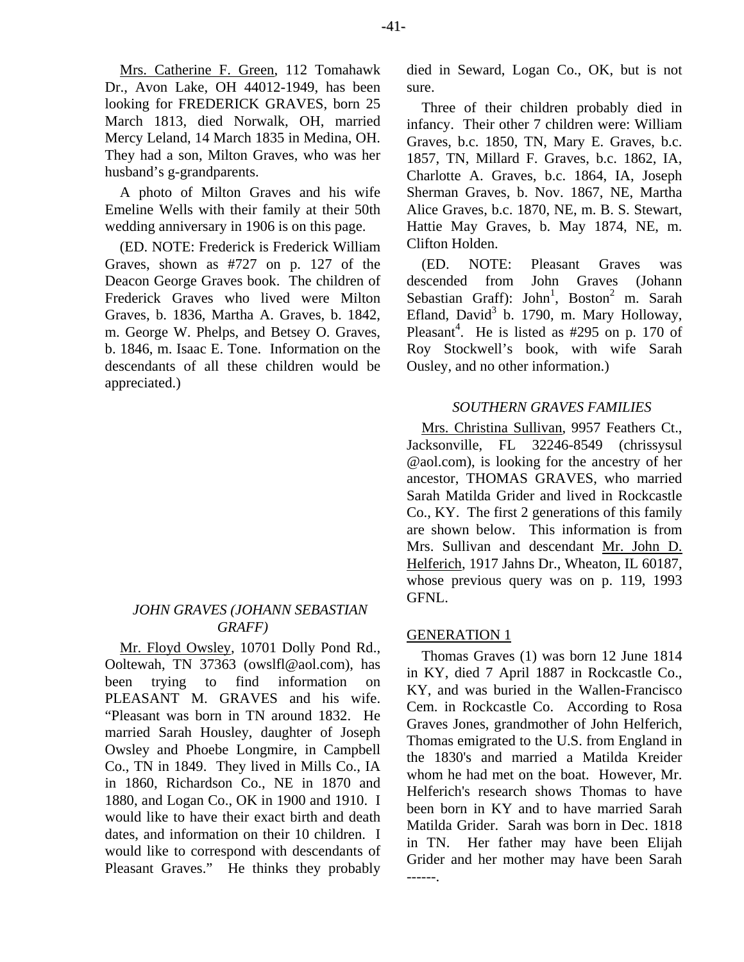Mrs. Catherine F. Green, 112 Tomahawk Dr., Avon Lake, OH 44012-1949, has been looking for FREDERICK GRAVES, born 25 March 1813, died Norwalk, OH, married Mercy Leland, 14 March 1835 in Medina, OH. They had a son, Milton Graves, who was her husband's g-grandparents.

A photo of Milton Graves and his wife Emeline Wells with their family at their 50th wedding anniversary in 1906 is on this page.

(ED. NOTE: Frederick is Frederick William Graves, shown as #727 on p. 127 of the Deacon George Graves book. The children of Frederick Graves who lived were Milton Graves, b. 1836, Martha A. Graves, b. 1842, m. George W. Phelps, and Betsey O. Graves, b. 1846, m. Isaac E. Tone. Information on the descendants of all these children would be appreciated.)

# *JOHN GRAVES (JOHANN SEBASTIAN GRAFF)*

Mr. Floyd Owsley, 10701 Dolly Pond Rd., Ooltewah, TN 37363 (owslfl@aol.com), has been trying to find information on PLEASANT M. GRAVES and his wife. "Pleasant was born in TN around 1832. He married Sarah Housley, daughter of Joseph Owsley and Phoebe Longmire, in Campbell Co., TN in 1849. They lived in Mills Co., IA in 1860, Richardson Co., NE in 1870 and 1880, and Logan Co., OK in 1900 and 1910. I would like to have their exact birth and death dates, and information on their 10 children. I would like to correspond with descendants of Pleasant Graves." He thinks they probably died in Seward, Logan Co., OK, but is not sure.

Three of their children probably died in infancy. Their other 7 children were: William Graves, b.c. 1850, TN, Mary E. Graves, b.c. 1857, TN, Millard F. Graves, b.c. 1862, IA, Charlotte A. Graves, b.c. 1864, IA, Joseph Sherman Graves, b. Nov. 1867, NE, Martha Alice Graves, b.c. 1870, NE, m. B. S. Stewart, Hattie May Graves, b. May 1874, NE, m. Clifton Holden.

(ED. NOTE: Pleasant Graves was descended from John Graves (Johann Sebastian Graff): John<sup>1</sup>, Boston<sup>2</sup> m. Sarah Efland, David $3$  b. 1790, m. Mary Holloway, Pleasant<sup>4</sup>. He is listed as  $\#295$  on p. 170 of Roy Stockwell's book, with wife Sarah Ousley, and no other information.)

# *SOUTHERN GRAVES FAMILIES*

Mrs. Christina Sullivan, 9957 Feathers Ct., Jacksonville, FL 32246-8549 (chrissysul @aol.com), is looking for the ancestry of her ancestor, THOMAS GRAVES, who married Sarah Matilda Grider and lived in Rockcastle Co., KY. The first 2 generations of this family are shown below. This information is from Mrs. Sullivan and descendant Mr. John D. Helferich, 1917 Jahns Dr., Wheaton, IL 60187, whose previous query was on p. 119, 1993 GFNL.

# GENERATION 1

Thomas Graves (1) was born 12 June 1814 in KY, died 7 April 1887 in Rockcastle Co., KY, and was buried in the Wallen-Francisco Cem. in Rockcastle Co. According to Rosa Graves Jones, grandmother of John Helferich, Thomas emigrated to the U.S. from England in the 1830's and married a Matilda Kreider whom he had met on the boat. However, Mr. Helferich's research shows Thomas to have been born in KY and to have married Sarah Matilda Grider. Sarah was born in Dec. 1818 in TN. Her father may have been Elijah Grider and her mother may have been Sarah ------.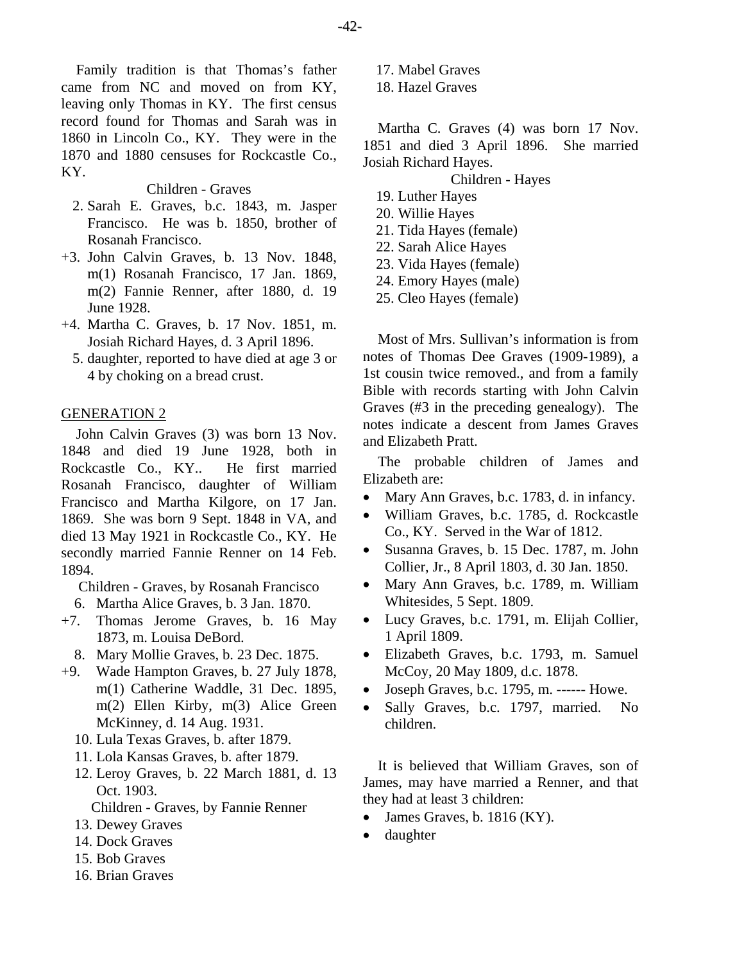Family tradition is that Thomas's father came from NC and moved on from KY, leaving only Thomas in KY. The first census record found for Thomas and Sarah was in 1860 in Lincoln Co., KY. They were in the 1870 and 1880 censuses for Rockcastle Co., KY.

Children - Graves

- 2. Sarah E. Graves, b.c. 1843, m. Jasper Francisco. He was b. 1850, brother of Rosanah Francisco.
- +3. John Calvin Graves, b. 13 Nov. 1848, m(1) Rosanah Francisco, 17 Jan. 1869, m(2) Fannie Renner, after 1880, d. 19 June 1928.
- +4. Martha C. Graves, b. 17 Nov. 1851, m. Josiah Richard Hayes, d. 3 April 1896.
	- 5. daughter, reported to have died at age 3 or 4 by choking on a bread crust.

# GENERATION 2

John Calvin Graves (3) was born 13 Nov. 1848 and died 19 June 1928, both in Rockcastle Co., KY.. He first married Rosanah Francisco, daughter of William Francisco and Martha Kilgore, on 17 Jan. 1869. She was born 9 Sept. 1848 in VA, and died 13 May 1921 in Rockcastle Co., KY. He secondly married Fannie Renner on 14 Feb. 1894.

Children - Graves, by Rosanah Francisco

- 6. Martha Alice Graves, b. 3 Jan. 1870.
- +7. Thomas Jerome Graves, b. 16 May 1873, m. Louisa DeBord.
	- 8. Mary Mollie Graves, b. 23 Dec. 1875.
- +9. Wade Hampton Graves, b. 27 July 1878, m(1) Catherine Waddle, 31 Dec. 1895, m(2) Ellen Kirby, m(3) Alice Green McKinney, d. 14 Aug. 1931.
	- 10. Lula Texas Graves, b. after 1879.
	- 11. Lola Kansas Graves, b. after 1879.
	- 12. Leroy Graves, b. 22 March 1881, d. 13 Oct. 1903.

Children - Graves, by Fannie Renner

- 13. Dewey Graves
- 14. Dock Graves
- 15. Bob Graves
- 16. Brian Graves

17. Mabel Graves

18. Hazel Graves

Martha C. Graves (4) was born 17 Nov. 1851 and died 3 April 1896. She married Josiah Richard Hayes.

Children - Hayes

- 19. Luther Hayes
- 20. Willie Hayes
- 21. Tida Hayes (female)
- 22. Sarah Alice Hayes
- 23. Vida Hayes (female)
- 24. Emory Hayes (male)
- 25. Cleo Hayes (female)

Most of Mrs. Sullivan's information is from notes of Thomas Dee Graves (1909-1989), a 1st cousin twice removed., and from a family Bible with records starting with John Calvin Graves (#3 in the preceding genealogy). The notes indicate a descent from James Graves and Elizabeth Pratt.

The probable children of James and Elizabeth are:

- Mary Ann Graves, b.c. 1783, d. in infancy.
- William Graves, b.c. 1785, d. Rockcastle Co., KY. Served in the War of 1812.
- Susanna Graves, b. 15 Dec. 1787, m. John Collier, Jr., 8 April 1803, d. 30 Jan. 1850.
- Mary Ann Graves, b.c. 1789, m. William Whitesides, 5 Sept. 1809.
- Lucy Graves, b.c. 1791, m. Elijah Collier, 1 April 1809.
- Elizabeth Graves, b.c. 1793, m. Samuel McCoy, 20 May 1809, d.c. 1878.
- $\bullet$  Joseph Graves, b.c. 1795, m. ------ Howe.
- Sally Graves, b.c. 1797, married. No children.

It is believed that William Graves, son of James, may have married a Renner, and that they had at least 3 children:

- James Graves, b. 1816 (KY).
- daughter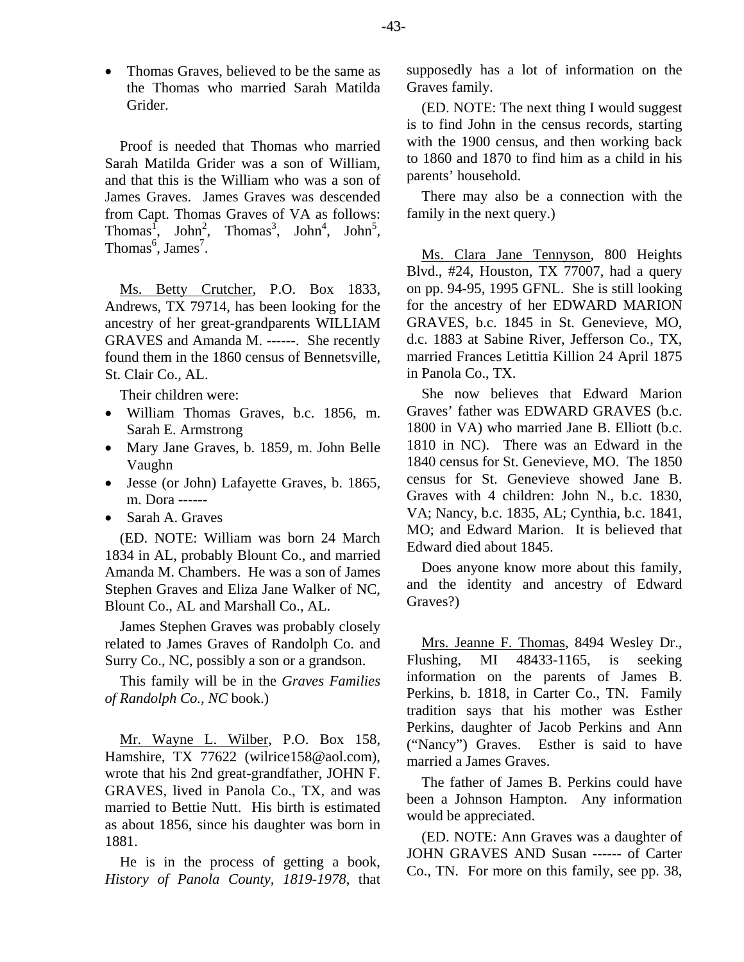• Thomas Graves, believed to be the same as the Thomas who married Sarah Matilda Grider.

Proof is needed that Thomas who married Sarah Matilda Grider was a son of William, and that this is the William who was a son of James Graves. James Graves was descended from Capt. Thomas Graves of VA as follows: Thomas<sup>1</sup>, John<sup>2</sup>, Thomas<sup>3</sup>, John<sup>4</sup>, John<sup>5</sup>, Thomas<sup>6</sup>, James<sup>7</sup>.

Ms. Betty Crutcher, P.O. Box 1833, Andrews, TX 79714, has been looking for the ancestry of her great-grandparents WILLIAM GRAVES and Amanda M. ------. She recently found them in the 1860 census of Bennetsville, St. Clair Co., AL.

Their children were:

- William Thomas Graves, b.c. 1856, m. Sarah E. Armstrong
- Mary Jane Graves, b. 1859, m. John Belle Vaughn
- Jesse (or John) Lafayette Graves, b. 1865, m. Dora ------
- Sarah A. Graves

(ED. NOTE: William was born 24 March 1834 in AL, probably Blount Co., and married Amanda M. Chambers. He was a son of James Stephen Graves and Eliza Jane Walker of NC, Blount Co., AL and Marshall Co., AL.

James Stephen Graves was probably closely related to James Graves of Randolph Co. and Surry Co., NC, possibly a son or a grandson.

This family will be in the *Graves Families of Randolph Co., NC* book.)

Mr. Wayne L. Wilber, P.O. Box 158, Hamshire, TX 77622 (wilrice158@aol.com), wrote that his 2nd great-grandfather, JOHN F. GRAVES, lived in Panola Co., TX, and was married to Bettie Nutt. His birth is estimated as about 1856, since his daughter was born in 1881.

He is in the process of getting a book, *History of Panola County, 1819-1978*, that supposedly has a lot of information on the Graves family.

(ED. NOTE: The next thing I would suggest is to find John in the census records, starting with the 1900 census, and then working back to 1860 and 1870 to find him as a child in his parents' household.

There may also be a connection with the family in the next query.)

Ms. Clara Jane Tennyson, 800 Heights Blvd., #24, Houston, TX 77007, had a query on pp. 94-95, 1995 GFNL. She is still looking for the ancestry of her EDWARD MARION GRAVES, b.c. 1845 in St. Genevieve, MO, d.c. 1883 at Sabine River, Jefferson Co., TX, married Frances Letittia Killion 24 April 1875 in Panola Co., TX.

She now believes that Edward Marion Graves' father was EDWARD GRAVES (b.c. 1800 in VA) who married Jane B. Elliott (b.c. 1810 in NC). There was an Edward in the 1840 census for St. Genevieve, MO. The 1850 census for St. Genevieve showed Jane B. Graves with 4 children: John N., b.c. 1830, VA; Nancy, b.c. 1835, AL; Cynthia, b.c. 1841, MO; and Edward Marion. It is believed that Edward died about 1845.

Does anyone know more about this family, and the identity and ancestry of Edward Graves?)

Mrs. Jeanne F. Thomas, 8494 Wesley Dr., Flushing, MI 48433-1165, is seeking information on the parents of James B. Perkins, b. 1818, in Carter Co., TN. Family tradition says that his mother was Esther Perkins, daughter of Jacob Perkins and Ann ("Nancy") Graves. Esther is said to have married a James Graves.

The father of James B. Perkins could have been a Johnson Hampton. Any information would be appreciated.

(ED. NOTE: Ann Graves was a daughter of JOHN GRAVES AND Susan ------ of Carter Co., TN. For more on this family, see pp. 38,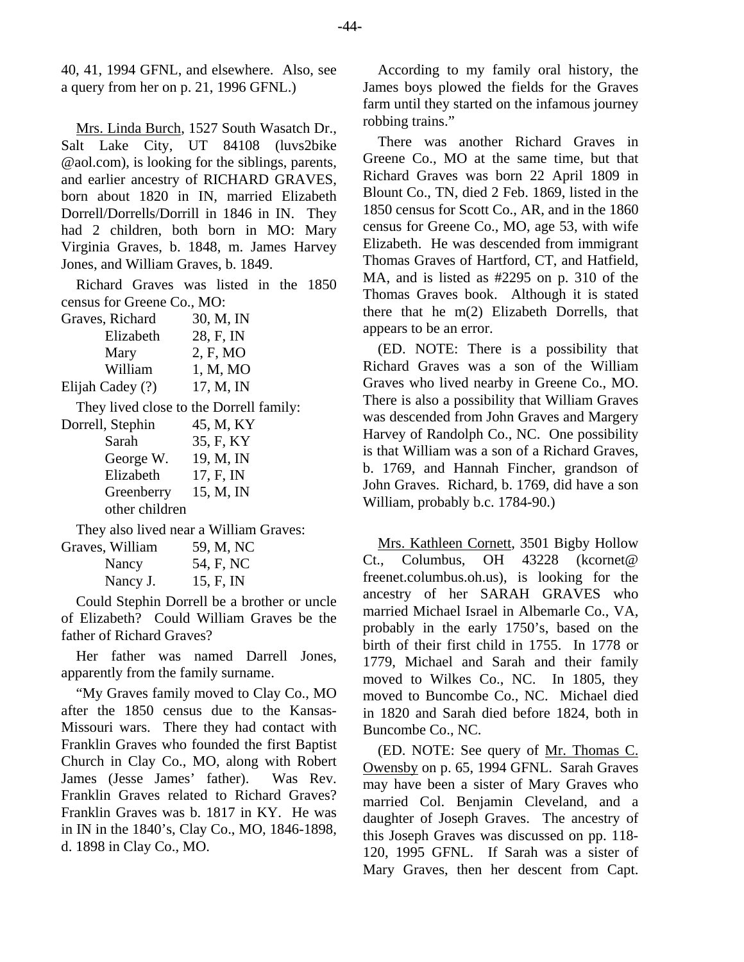40, 41, 1994 GFNL, and elsewhere. Also, see a query from her on p. 21, 1996 GFNL.)

Mrs. Linda Burch, 1527 South Wasatch Dr., Salt Lake City, UT 84108 (luvs2bike @aol.com), is looking for the siblings, parents, and earlier ancestry of RICHARD GRAVES, born about 1820 in IN, married Elizabeth Dorrell/Dorrells/Dorrill in 1846 in IN. They had 2 children, both born in MO: Mary Virginia Graves, b. 1848, m. James Harvey Jones, and William Graves, b. 1849.

Richard Graves was listed in the 1850 census for Greene Co., MO:

| 30, M, IN                               |
|-----------------------------------------|
| 28, F, IN                               |
| 2, F, MO                                |
| 1, M, MO                                |
| 17, M, IN                               |
| They lived close to the Dorrell family: |
| 45, M, KY                               |
| 35, F, KY                               |
| 19, M, IN                               |
| 17, F, IN                               |
| 15, M, IN                               |
|                                         |
|                                         |

They also lived near a William Graves:

| Graves, William | 59, M, NC |
|-----------------|-----------|
| Nancy           | 54, F, NC |
| Nancy J.        | 15, F, IN |

Could Stephin Dorrell be a brother or uncle of Elizabeth? Could William Graves be the father of Richard Graves?

Her father was named Darrell Jones, apparently from the family surname.

"My Graves family moved to Clay Co., MO after the 1850 census due to the Kansas-Missouri wars. There they had contact with Franklin Graves who founded the first Baptist Church in Clay Co., MO, along with Robert James (Jesse James' father). Was Rev. Franklin Graves related to Richard Graves? Franklin Graves was b. 1817 in KY. He was in IN in the 1840's, Clay Co., MO, 1846-1898, d. 1898 in Clay Co., MO.

According to my family oral history, the James boys plowed the fields for the Graves farm until they started on the infamous journey robbing trains."

There was another Richard Graves in Greene Co., MO at the same time, but that Richard Graves was born 22 April 1809 in Blount Co., TN, died 2 Feb. 1869, listed in the 1850 census for Scott Co., AR, and in the 1860 census for Greene Co., MO, age 53, with wife Elizabeth. He was descended from immigrant Thomas Graves of Hartford, CT, and Hatfield, MA, and is listed as #2295 on p. 310 of the Thomas Graves book. Although it is stated there that he m(2) Elizabeth Dorrells, that appears to be an error.

(ED. NOTE: There is a possibility that Richard Graves was a son of the William Graves who lived nearby in Greene Co., MO. There is also a possibility that William Graves was descended from John Graves and Margery Harvey of Randolph Co., NC. One possibility is that William was a son of a Richard Graves, b. 1769, and Hannah Fincher, grandson of John Graves. Richard, b. 1769, did have a son William, probably b.c. 1784-90.)

Mrs. Kathleen Cornett, 3501 Bigby Hollow Ct., Columbus, OH 43228 (kcornet@ freenet.columbus.oh.us), is looking for the ancestry of her SARAH GRAVES who married Michael Israel in Albemarle Co., VA, probably in the early 1750's, based on the birth of their first child in 1755. In 1778 or 1779, Michael and Sarah and their family moved to Wilkes Co., NC. In 1805, they moved to Buncombe Co., NC. Michael died in 1820 and Sarah died before 1824, both in Buncombe Co., NC.

(ED. NOTE: See query of Mr. Thomas C. Owensby on p. 65, 1994 GFNL. Sarah Graves may have been a sister of Mary Graves who married Col. Benjamin Cleveland, and a daughter of Joseph Graves. The ancestry of this Joseph Graves was discussed on pp. 118- 120, 1995 GFNL. If Sarah was a sister of Mary Graves, then her descent from Capt.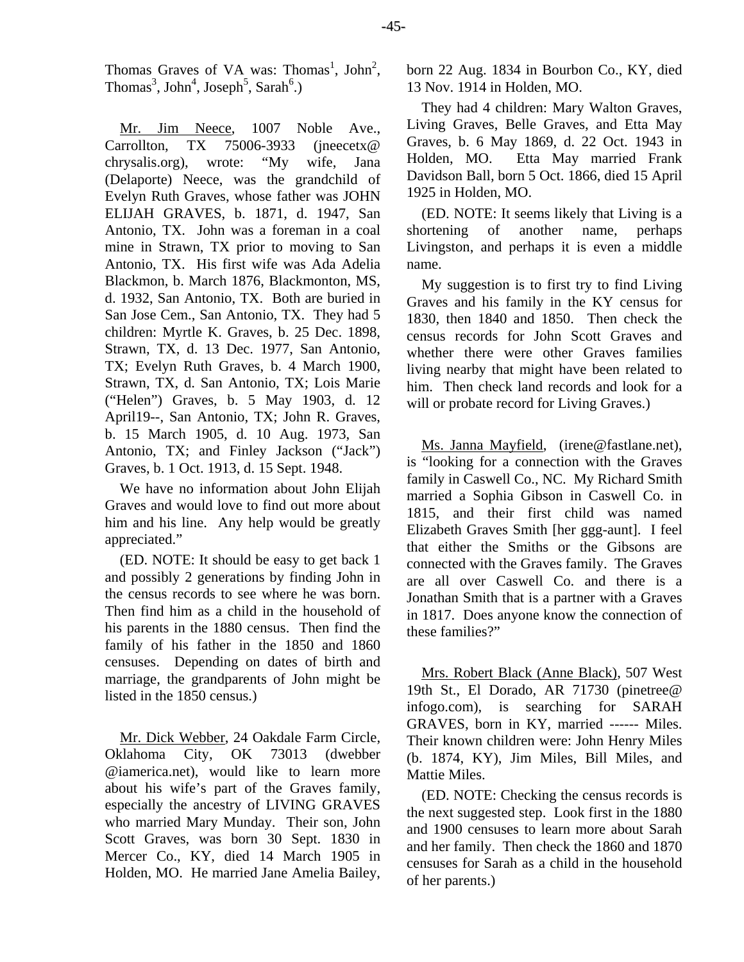Thomas Graves of VA was: Thomas<sup>1</sup>, John<sup>2</sup>, Thomas<sup>3</sup>, John<sup>4</sup>, Joseph<sup>5</sup>, Sarah<sup>6</sup>.)

Mr. Jim Neece, 1007 Noble Ave., Carrollton, TX 75006-3933 (jneecetx@) chrysalis.org), wrote: "My wife, Jana (Delaporte) Neece, was the grandchild of Evelyn Ruth Graves, whose father was JOHN ELIJAH GRAVES, b. 1871, d. 1947, San Antonio, TX. John was a foreman in a coal mine in Strawn, TX prior to moving to San Antonio, TX. His first wife was Ada Adelia Blackmon, b. March 1876, Blackmonton, MS, d. 1932, San Antonio, TX. Both are buried in San Jose Cem., San Antonio, TX. They had 5 children: Myrtle K. Graves, b. 25 Dec. 1898, Strawn, TX, d. 13 Dec. 1977, San Antonio, TX; Evelyn Ruth Graves, b. 4 March 1900, Strawn, TX, d. San Antonio, TX; Lois Marie ("Helen") Graves, b. 5 May 1903, d. 12 April19--, San Antonio, TX; John R. Graves, b. 15 March 1905, d. 10 Aug. 1973, San Antonio, TX; and Finley Jackson ("Jack") Graves, b. 1 Oct. 1913, d. 15 Sept. 1948.

We have no information about John Elijah Graves and would love to find out more about him and his line. Any help would be greatly appreciated."

(ED. NOTE: It should be easy to get back 1 and possibly 2 generations by finding John in the census records to see where he was born. Then find him as a child in the household of his parents in the 1880 census. Then find the family of his father in the 1850 and 1860 censuses. Depending on dates of birth and marriage, the grandparents of John might be listed in the 1850 census.)

Mr. Dick Webber, 24 Oakdale Farm Circle, Oklahoma City, OK 73013 (dwebber @iamerica.net), would like to learn more about his wife's part of the Graves family, especially the ancestry of LIVING GRAVES who married Mary Munday. Their son, John Scott Graves, was born 30 Sept. 1830 in Mercer Co., KY, died 14 March 1905 in Holden, MO. He married Jane Amelia Bailey, born 22 Aug. 1834 in Bourbon Co., KY, died 13 Nov. 1914 in Holden, MO.

They had 4 children: Mary Walton Graves, Living Graves, Belle Graves, and Etta May Graves, b. 6 May 1869, d. 22 Oct. 1943 in Holden, MO. Etta May married Frank Davidson Ball, born 5 Oct. 1866, died 15 April 1925 in Holden, MO.

(ED. NOTE: It seems likely that Living is a shortening of another name, perhaps Livingston, and perhaps it is even a middle name.

My suggestion is to first try to find Living Graves and his family in the KY census for 1830, then 1840 and 1850. Then check the census records for John Scott Graves and whether there were other Graves families living nearby that might have been related to him. Then check land records and look for a will or probate record for Living Graves.)

Ms. Janna Mayfield, (irene@fastlane.net), is "looking for a connection with the Graves family in Caswell Co., NC. My Richard Smith married a Sophia Gibson in Caswell Co. in 1815, and their first child was named Elizabeth Graves Smith [her ggg-aunt]. I feel that either the Smiths or the Gibsons are connected with the Graves family. The Graves are all over Caswell Co. and there is a Jonathan Smith that is a partner with a Graves in 1817. Does anyone know the connection of these families?"

Mrs. Robert Black (Anne Black), 507 West 19th St., El Dorado, AR 71730 (pinetree@ infogo.com), is searching for SARAH GRAVES, born in KY, married ------ Miles. Their known children were: John Henry Miles (b. 1874, KY), Jim Miles, Bill Miles, and Mattie Miles.

(ED. NOTE: Checking the census records is the next suggested step. Look first in the 1880 and 1900 censuses to learn more about Sarah and her family. Then check the 1860 and 1870 censuses for Sarah as a child in the household of her parents.)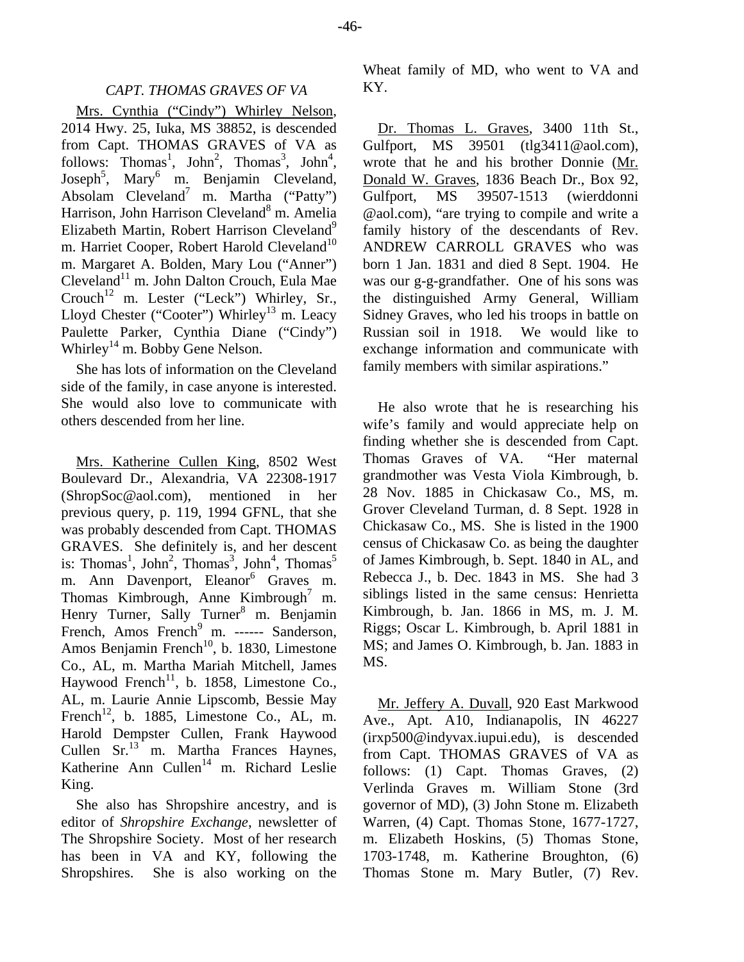## *CAPT. THOMAS GRAVES OF VA*

Mrs. Cynthia ("Cindy") Whirley Nelson, 2014 Hwy. 25, Iuka, MS 38852, is descended from Capt. THOMAS GRAVES of VA as follows: Thomas<sup>1</sup>, John<sup>2</sup>, Thomas<sup>3</sup>, John<sup>4</sup>, Joseph<sup>5</sup>, Mary<sup>6</sup> m. Benjamin Cleveland, Absolam Cleveland<sup>7</sup> m. Martha ("Patty") Harrison, John Harrison Cleveland<sup>8</sup> m. Amelia Elizabeth Martin, Robert Harrison Cleveland<sup>9</sup> m. Harriet Cooper, Robert Harold Cleveland<sup>10</sup> m. Margaret A. Bolden, Mary Lou ("Anner") Cleveland<sup>11</sup> m. John Dalton Crouch, Eula Mae Crouch<sup>12</sup> m. Lester ("Leck") Whirley, Sr., Lloyd Chester ("Cooter") Whirley<sup>13</sup> m. Leacy Paulette Parker, Cynthia Diane ("Cindy") Whirley<sup>14</sup> m. Bobby Gene Nelson.

She has lots of information on the Cleveland side of the family, in case anyone is interested. She would also love to communicate with others descended from her line.

Mrs. Katherine Cullen King, 8502 West Boulevard Dr., Alexandria, VA 22308-1917 (ShropSoc@aol.com), mentioned in her previous query, p. 119, 1994 GFNL, that she was probably descended from Capt. THOMAS GRAVES. She definitely is, and her descent is: Thomas<sup>1</sup>, John<sup>2</sup>, Thomas<sup>3</sup>, John<sup>4</sup>, Thomas<sup>5</sup> m. Ann Davenport, Eleanor<sup>6</sup> Graves m. Thomas Kimbrough, Anne Kimbrough<sup>7</sup> m. Henry Turner, Sally Turner<sup>8</sup> m. Benjamin French, Amos French<sup>9</sup> m. ------ Sanderson, Amos Benjamin French<sup>10</sup>, b. 1830, Limestone Co., AL, m. Martha Mariah Mitchell, James Haywood French<sup>11</sup>, b. 1858, Limestone Co., AL, m. Laurie Annie Lipscomb, Bessie May French<sup>12</sup>, b. 1885, Limestone Co., AL, m. Harold Dempster Cullen, Frank Haywood Cullen Sr.<sup>13</sup> m. Martha Frances Haynes, Katherine Ann Cullen<sup>14</sup> m. Richard Leslie King.

She also has Shropshire ancestry, and is editor of *Shropshire Exchange*, newsletter of The Shropshire Society. Most of her research has been in VA and KY, following the Shropshires. She is also working on the

Wheat family of MD, who went to VA and KY.

Dr. Thomas L. Graves, 3400 11th St., Gulfport, MS 39501 (tlg3411@aol.com), wrote that he and his brother Donnie (Mr. Donald W. Graves, 1836 Beach Dr., Box 92, Gulfport, MS 39507-1513 (wierddonni @aol.com), "are trying to compile and write a family history of the descendants of Rev. ANDREW CARROLL GRAVES who was born 1 Jan. 1831 and died 8 Sept. 1904. He was our g-g-grandfather. One of his sons was the distinguished Army General, William Sidney Graves, who led his troops in battle on Russian soil in 1918. We would like to exchange information and communicate with family members with similar aspirations."

He also wrote that he is researching his wife's family and would appreciate help on finding whether she is descended from Capt. Thomas Graves of VA. "Her maternal grandmother was Vesta Viola Kimbrough, b. 28 Nov. 1885 in Chickasaw Co., MS, m. Grover Cleveland Turman, d. 8 Sept. 1928 in Chickasaw Co., MS. She is listed in the 1900 census of Chickasaw Co. as being the daughter of James Kimbrough, b. Sept. 1840 in AL, and Rebecca J., b. Dec. 1843 in MS. She had 3 siblings listed in the same census: Henrietta Kimbrough, b. Jan. 1866 in MS, m. J. M. Riggs; Oscar L. Kimbrough, b. April 1881 in MS; and James O. Kimbrough, b. Jan. 1883 in MS.

Mr. Jeffery A. Duvall, 920 East Markwood Ave., Apt. A10, Indianapolis, IN 46227 (irxp500@indyvax.iupui.edu), is descended from Capt. THOMAS GRAVES of VA as follows: (1) Capt. Thomas Graves, (2) Verlinda Graves m. William Stone (3rd governor of MD), (3) John Stone m. Elizabeth Warren, (4) Capt. Thomas Stone, 1677-1727, m. Elizabeth Hoskins, (5) Thomas Stone, 1703-1748, m. Katherine Broughton, (6) Thomas Stone m. Mary Butler, (7) Rev.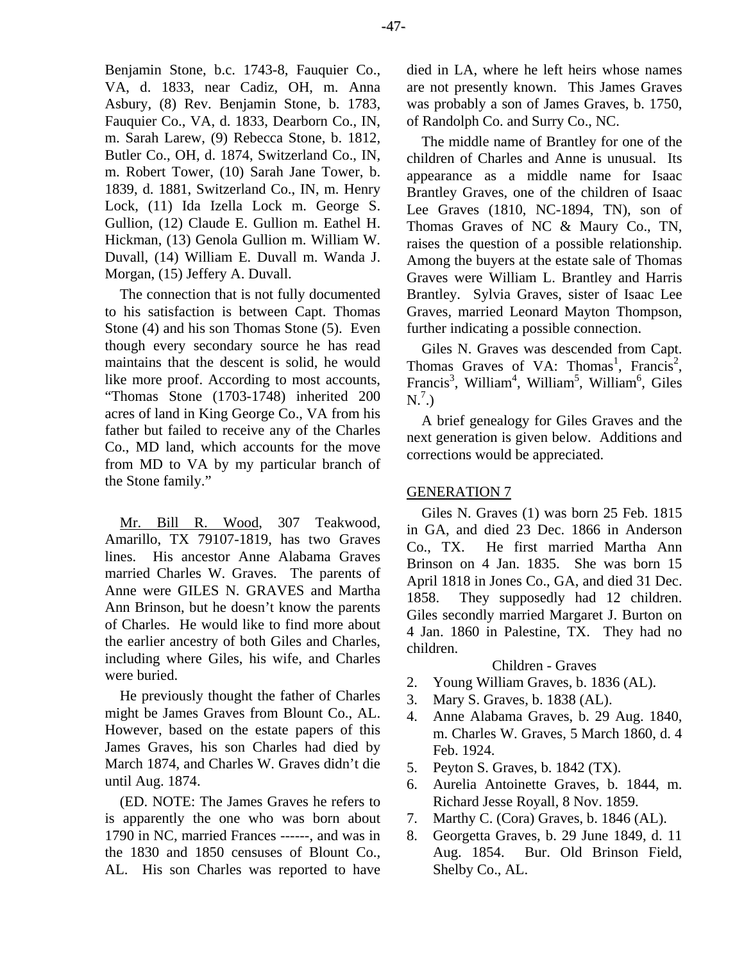Benjamin Stone, b.c. 1743-8, Fauquier Co., VA, d. 1833, near Cadiz, OH, m. Anna Asbury, (8) Rev. Benjamin Stone, b. 1783, Fauquier Co., VA, d. 1833, Dearborn Co., IN, m. Sarah Larew, (9) Rebecca Stone, b. 1812, Butler Co., OH, d. 1874, Switzerland Co., IN, m. Robert Tower, (10) Sarah Jane Tower, b. 1839, d. 1881, Switzerland Co., IN, m. Henry Lock, (11) Ida Izella Lock m. George S. Gullion, (12) Claude E. Gullion m. Eathel H. Hickman, (13) Genola Gullion m. William W. Duvall, (14) William E. Duvall m. Wanda J. Morgan, (15) Jeffery A. Duvall.

The connection that is not fully documented to his satisfaction is between Capt. Thomas Stone (4) and his son Thomas Stone (5). Even though every secondary source he has read maintains that the descent is solid, he would like more proof. According to most accounts, "Thomas Stone (1703-1748) inherited 200 acres of land in King George Co., VA from his father but failed to receive any of the Charles Co., MD land, which accounts for the move from MD to VA by my particular branch of the Stone family."

Mr. Bill R. Wood, 307 Teakwood, Amarillo, TX 79107-1819, has two Graves lines. His ancestor Anne Alabama Graves married Charles W. Graves. The parents of Anne were GILES N. GRAVES and Martha Ann Brinson, but he doesn't know the parents of Charles. He would like to find more about the earlier ancestry of both Giles and Charles, including where Giles, his wife, and Charles were buried.

He previously thought the father of Charles might be James Graves from Blount Co., AL. However, based on the estate papers of this James Graves, his son Charles had died by March 1874, and Charles W. Graves didn't die until Aug. 1874.

(ED. NOTE: The James Graves he refers to is apparently the one who was born about 1790 in NC, married Frances ------, and was in the 1830 and 1850 censuses of Blount Co., AL. His son Charles was reported to have

died in LA, where he left heirs whose names are not presently known. This James Graves was probably a son of James Graves, b. 1750, of Randolph Co. and Surry Co., NC.

The middle name of Brantley for one of the children of Charles and Anne is unusual. Its appearance as a middle name for Isaac Brantley Graves, one of the children of Isaac Lee Graves (1810, NC-1894, TN), son of Thomas Graves of NC & Maury Co., TN, raises the question of a possible relationship. Among the buyers at the estate sale of Thomas Graves were William L. Brantley and Harris Brantley. Sylvia Graves, sister of Isaac Lee Graves, married Leonard Mayton Thompson, further indicating a possible connection.

Giles N. Graves was descended from Capt. Thomas Graves of VA: Thomas<sup>1</sup>, Francis<sup>2</sup>, Francis<sup>3</sup>, William<sup>4</sup>, William<sup>5</sup>, William<sup>6</sup>, Giles  $N<sup>7</sup>$ .)

A brief genealogy for Giles Graves and the next generation is given below. Additions and corrections would be appreciated.

# GENERATION 7

Giles N. Graves (1) was born 25 Feb. 1815 in GA, and died 23 Dec. 1866 in Anderson Co., TX. He first married Martha Ann Brinson on 4 Jan. 1835. She was born 15 April 1818 in Jones Co., GA, and died 31 Dec. 1858. They supposedly had 12 children. Giles secondly married Margaret J. Burton on 4 Jan. 1860 in Palestine, TX. They had no children.

# Children - Graves

- 2. Young William Graves, b. 1836 (AL).
- 3. Mary S. Graves, b. 1838 (AL).
- 4. Anne Alabama Graves, b. 29 Aug. 1840, m. Charles W. Graves, 5 March 1860, d. 4 Feb. 1924.
- 5. Peyton S. Graves, b. 1842 (TX).
- 6. Aurelia Antoinette Graves, b. 1844, m. Richard Jesse Royall, 8 Nov. 1859.
- 7. Marthy C. (Cora) Graves, b. 1846 (AL).
- 8. Georgetta Graves, b. 29 June 1849, d. 11 Aug. 1854. Bur. Old Brinson Field, Shelby Co., AL.